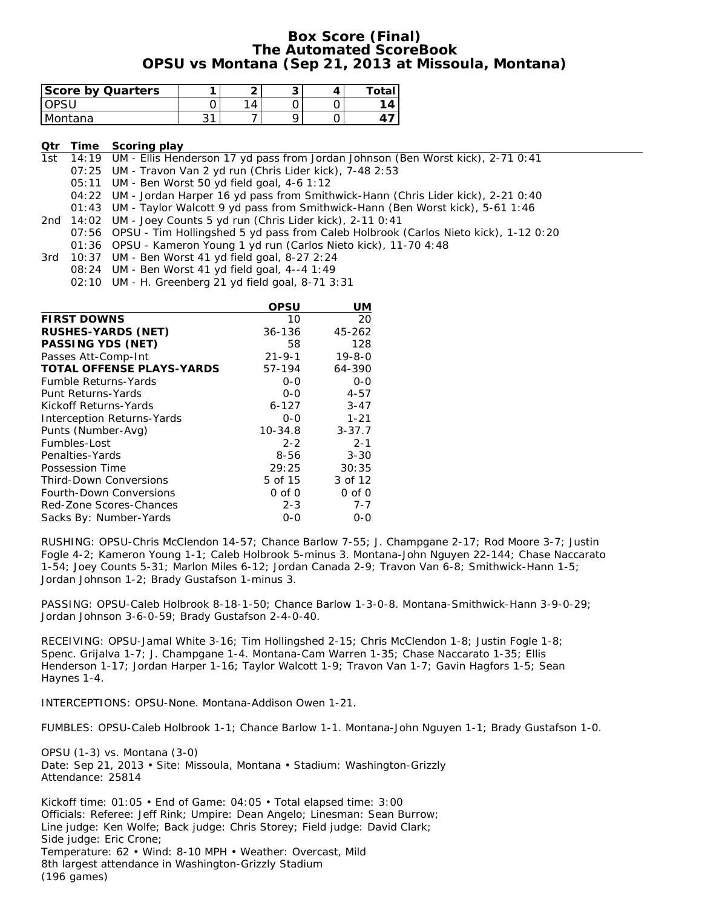#### **Box Score (Final) The Automated ScoreBook OPSU vs Montana (Sep 21, 2013 at Missoula, Montana)**

| <b>Score by Quarters</b> |   |           |  | Total |
|--------------------------|---|-----------|--|-------|
|                          |   | $\Lambda$ |  |       |
| Montana                  | ົ |           |  |       |

#### **Qtr Time Scoring play**

1st 14:19 UM - Ellis Henderson 17 yd pass from Jordan Johnson (Ben Worst kick), 2-71 0:41

07:25 UM - Travon Van 2 yd run (Chris Lider kick), 7-48 2:53

05:11 UM - Ben Worst 50 yd field goal, 4-6 1:12

04:22 UM - Jordan Harper 16 yd pass from Smithwick-Hann (Chris Lider kick), 2-21 0:40

01:43 UM - Taylor Walcott 9 yd pass from Smithwick-Hann (Ben Worst kick), 5-61 1:46

2nd 14:02 UM - Joey Counts 5 yd run (Chris Lider kick), 2-11 0:41

- 07:56 OPSU Tim Hollingshed 5 yd pass from Caleb Holbrook (Carlos Nieto kick), 1-12 0:20 01:36 OPSU - Kameron Young 1 yd run (Carlos Nieto kick), 11-70 4:48
- 3rd 10:37 UM Ben Worst 41 yd field goal, 8-27 2:24
	- 08:24 UM Ben Worst 41 yd field goal, 4--4 1:49
		- 02:10 UM H. Greenberg 21 yd field goal, 8-71 3:31

|                                   | OPSU         | UM           |
|-----------------------------------|--------------|--------------|
| <b>FIRST DOWNS</b>                | 10           | 20           |
| <b>RUSHES-YARDS (NET)</b>         | 36-136       | 45-262       |
| <b>PASSING YDS (NET)</b>          | 58           | 128          |
| Passes Att-Comp-Int               | $21 - 9 - 1$ | $19 - 8 - 0$ |
| <b>TOTAL OFFENSE PLAYS-YARDS</b>  | 57-194       | 64-390       |
| <b>Fumble Returns-Yards</b>       | $0 - 0$      | $0 - 0$      |
| Punt Returns-Yards                | $0 - 0$      | $4 - 57$     |
| Kickoff Returns-Yards             | $6 - 127$    | $3 - 47$     |
| <b>Interception Returns-Yards</b> | $0 - 0$      | $1 - 21$     |
| Punts (Number-Avg)                | $10 - 34.8$  | $3 - 37.7$   |
| Fumbles-Lost                      | $2 - 2$      | $2 - 1$      |
| Penalties-Yards                   | 8-56         | $3 - 30$     |
| Possession Time                   | 29:25        | 30:35        |
| <b>Third-Down Conversions</b>     | 5 of 15      | 3 of 12      |
| Fourth-Down Conversions           | $0$ of $0$   | $0$ of $0$   |
| Red-Zone Scores-Chances           | $2 - 3$      | $7 - 7$      |
| Sacks By: Number-Yards            | 0-0          | 0-0          |

RUSHING: OPSU-Chris McClendon 14-57; Chance Barlow 7-55; J. Champgane 2-17; Rod Moore 3-7; Justin Fogle 4-2; Kameron Young 1-1; Caleb Holbrook 5-minus 3. Montana-John Nguyen 22-144; Chase Naccarato 1-54; Joey Counts 5-31; Marlon Miles 6-12; Jordan Canada 2-9; Travon Van 6-8; Smithwick-Hann 1-5; Jordan Johnson 1-2; Brady Gustafson 1-minus 3.

PASSING: OPSU-Caleb Holbrook 8-18-1-50; Chance Barlow 1-3-0-8. Montana-Smithwick-Hann 3-9-0-29; Jordan Johnson 3-6-0-59; Brady Gustafson 2-4-0-40.

RECEIVING: OPSU-Jamal White 3-16; Tim Hollingshed 2-15; Chris McClendon 1-8; Justin Fogle 1-8; Spenc. Grijalva 1-7; J. Champgane 1-4. Montana-Cam Warren 1-35; Chase Naccarato 1-35; Ellis Henderson 1-17; Jordan Harper 1-16; Taylor Walcott 1-9; Travon Van 1-7; Gavin Hagfors 1-5; Sean Haynes 1-4.

INTERCEPTIONS: OPSU-None. Montana-Addison Owen 1-21.

FUMBLES: OPSU-Caleb Holbrook 1-1; Chance Barlow 1-1. Montana-John Nguyen 1-1; Brady Gustafson 1-0.

OPSU (1-3) vs. Montana (3-0) Date: Sep 21, 2013 • Site: Missoula, Montana • Stadium: Washington-Grizzly Attendance: 25814

Kickoff time: 01:05 • End of Game: 04:05 • Total elapsed time: 3:00 Officials: Referee: Jeff Rink; Umpire: Dean Angelo; Linesman: Sean Burrow; Line judge: Ken Wolfe; Back judge: Chris Storey; Field judge: David Clark; Side judge: Eric Crone; Temperature: 62 • Wind: 8-10 MPH • Weather: Overcast, Mild 8th largest attendance in Washington-Grizzly Stadium (196 games)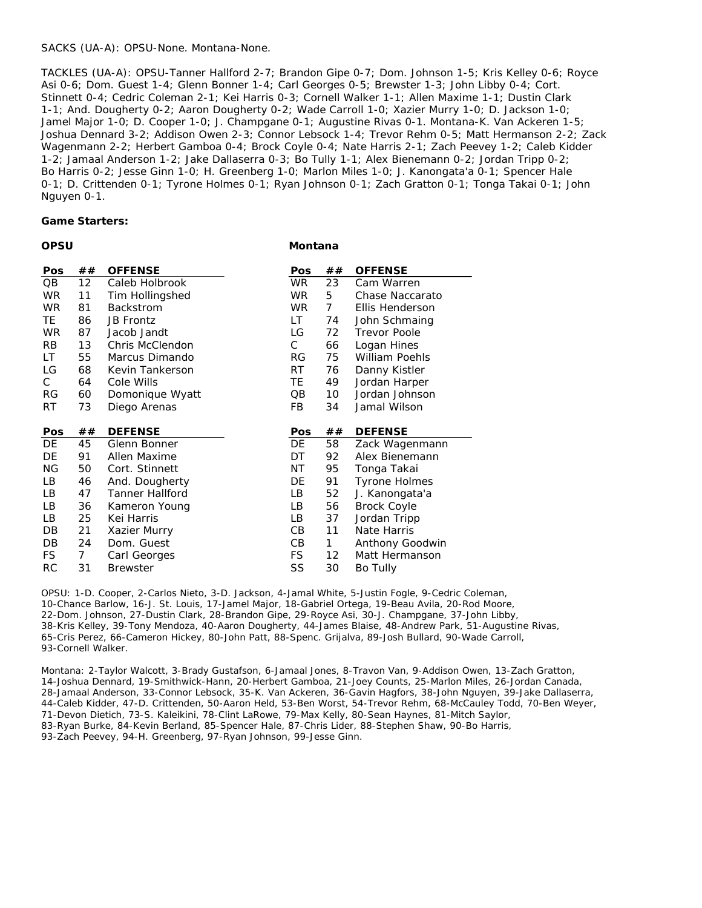#### SACKS (UA-A): OPSU-None. Montana-None.

TACKLES (UA-A): OPSU-Tanner Hallford 2-7; Brandon Gipe 0-7; Dom. Johnson 1-5; Kris Kelley 0-6; Royce Asi 0-6; Dom. Guest 1-4; Glenn Bonner 1-4; Carl Georges 0-5; Brewster 1-3; John Libby 0-4; Cort. Stinnett 0-4; Cedric Coleman 2-1; Kei Harris 0-3; Cornell Walker 1-1; Allen Maxime 1-1; Dustin Clark 1-1; And. Dougherty 0-2; Aaron Dougherty 0-2; Wade Carroll 1-0; Xazier Murry 1-0; D. Jackson 1-0; Jamel Major 1-0; D. Cooper 1-0; J. Champgane 0-1; Augustine Rivas 0-1. Montana-K. Van Ackeren 1-5; Joshua Dennard 3-2; Addison Owen 2-3; Connor Lebsock 1-4; Trevor Rehm 0-5; Matt Hermanson 2-2; Zack Wagenmann 2-2; Herbert Gamboa 0-4; Brock Coyle 0-4; Nate Harris 2-1; Zach Peevey 1-2; Caleb Kidder 1-2; Jamaal Anderson 1-2; Jake Dallaserra 0-3; Bo Tully 1-1; Alex Bienemann 0-2; Jordan Tripp 0-2; Bo Harris 0-2; Jesse Ginn 1-0; H. Greenberg 1-0; Marlon Miles 1-0; J. Kanongata'a 0-1; Spencer Hale 0-1; D. Crittenden 0-1; Tyrone Holmes 0-1; Ryan Johnson 0-1; Zach Gratton 0-1; Tonga Takai 0-1; John Nguyen 0-1.

**Montana**

#### **Game Starters:**

| ×<br>I<br>ł<br>$\sim$<br>. .<br><br>., |
|----------------------------------------|
|----------------------------------------|

| Pos        | ##       | <b>OFFENSE</b>                           | Pos        | ##       | <b>OFFENSE</b>                      |
|------------|----------|------------------------------------------|------------|----------|-------------------------------------|
| QB         | 12       | Caleb Holbrook                           | <b>WR</b>  | 23       | Cam Warren                          |
| <b>WR</b>  | 11       | Tim Hollingshed                          | <b>WR</b>  | 5        | Chase Naccarato                     |
| <b>WR</b>  | 81       | <b>Backstrom</b>                         | WR.        | 7        | Ellis Henderson                     |
| TE         | 86       | <b>JB Frontz</b>                         | LT.        | 74       | John Schmaing                       |
| <b>WR</b>  | 87       | Jacob Jandt                              | LG         | 72       | <b>Trevor Poole</b>                 |
| RB         | 13       | Chris McClendon                          | С          | 66       | Logan Hines                         |
| LT         | 55       | Marcus Dimando                           | RG         | 75       | William Poehls                      |
| LG         | 68       | Kevin Tankerson                          | RT         | 76       | Danny Kistler                       |
| С          | 64       | Cole Wills                               | TE.        | 49       | Jordan Harper                       |
| RG         | 60       | Domonique Wyatt                          | QB         | 10       | Jordan Johnson                      |
| RT         | 73       | Diego Arenas                             | FB.        | 34       | Jamal Wilson                        |
|            |          |                                          |            |          |                                     |
| <b>Pos</b> | ##       | <b>DEFENSE</b>                           | <b>Pos</b> | ##       | <b>DEFENSE</b>                      |
| DE         | 45       | Glenn Bonner                             | DE         | 58       | Zack Wagenmann                      |
| DE         | 91       | Allen Maxime                             | DT         | 92       | Alex Bienemann                      |
| ΝG         |          |                                          |            |          |                                     |
|            | 50       | Cort. Stinnett                           | ΝT         | 95       |                                     |
| LB         | 46       |                                          | DE         | 91       | Tonga Takai<br><b>Tyrone Holmes</b> |
| LB         | 47       | And. Dougherty<br><b>Tanner Hallford</b> | LB         | 52       |                                     |
| LВ         |          | Kameron Young                            | LВ         |          | J. Kanongata'a                      |
| LB         | 36<br>25 | Kei Harris                               | LB         | 56<br>37 | <b>Brock Coyle</b><br>Jordan Tripp  |
| DB         | 21       |                                          | CВ         | 11       | Nate Harris                         |
| DB         | 24       | Xazier Murry<br>Dom. Guest               | CВ         | 1        | Anthony Goodwin                     |
| FS.        | 7        | Carl Georges                             | FS.        | 12       | Matt Hermanson                      |

OPSU: 1-D. Cooper, 2-Carlos Nieto, 3-D. Jackson, 4-Jamal White, 5-Justin Fogle, 9-Cedric Coleman, 10-Chance Barlow, 16-J. St. Louis, 17-Jamel Major, 18-Gabriel Ortega, 19-Beau Avila, 20-Rod Moore, 22-Dom. Johnson, 27-Dustin Clark, 28-Brandon Gipe, 29-Royce Asi, 30-J. Champgane, 37-John Libby, 38-Kris Kelley, 39-Tony Mendoza, 40-Aaron Dougherty, 44-James Blaise, 48-Andrew Park, 51-Augustine Rivas, 65-Cris Perez, 66-Cameron Hickey, 80-John Patt, 88-Spenc. Grijalva, 89-Josh Bullard, 90-Wade Carroll, 93-Cornell Walker.

Montana: 2-Taylor Walcott, 3-Brady Gustafson, 6-Jamaal Jones, 8-Travon Van, 9-Addison Owen, 13-Zach Gratton, 14-Joshua Dennard, 19-Smithwick-Hann, 20-Herbert Gamboa, 21-Joey Counts, 25-Marlon Miles, 26-Jordan Canada, 28-Jamaal Anderson, 33-Connor Lebsock, 35-K. Van Ackeren, 36-Gavin Hagfors, 38-John Nguyen, 39-Jake Dallaserra, 44-Caleb Kidder, 47-D. Crittenden, 50-Aaron Held, 53-Ben Worst, 54-Trevor Rehm, 68-McCauley Todd, 70-Ben Weyer, 71-Devon Dietich, 73-S. Kaleikini, 78-Clint LaRowe, 79-Max Kelly, 80-Sean Haynes, 81-Mitch Saylor, 83-Ryan Burke, 84-Kevin Berland, 85-Spencer Hale, 87-Chris Lider, 88-Stephen Shaw, 90-Bo Harris, 93-Zach Peevey, 94-H. Greenberg, 97-Ryan Johnson, 99-Jesse Ginn.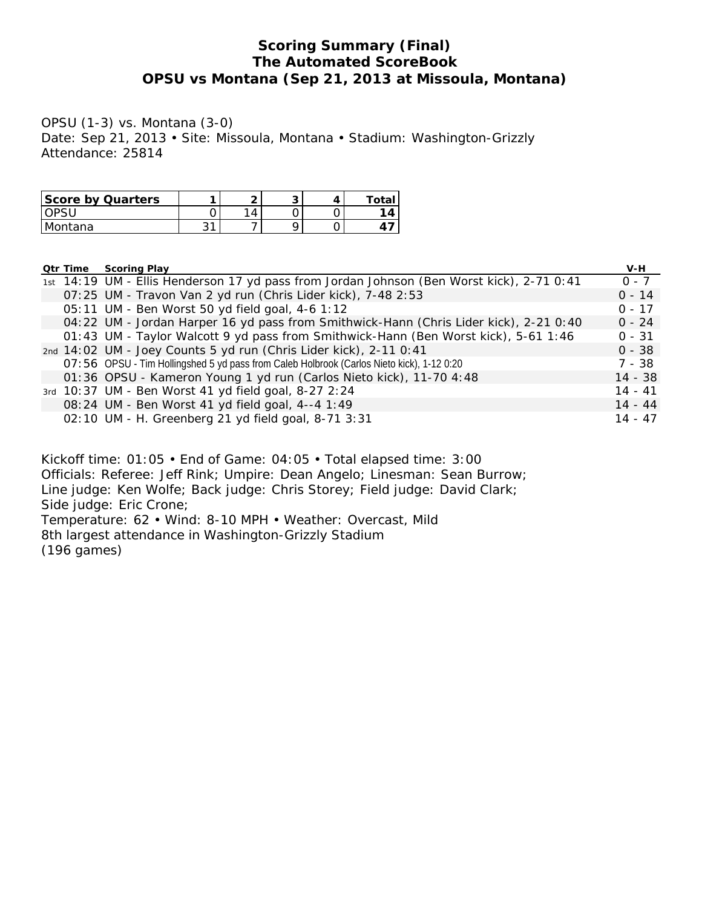## **Scoring Summary (Final) The Automated ScoreBook OPSU vs Montana (Sep 21, 2013 at Missoula, Montana)**

OPSU (1-3) vs. Montana (3-0) Date: Sep 21, 2013 • Site: Missoula, Montana • Stadium: Washington-Grizzly Attendance: 25814

| <b>Score by Quarters</b> |         | ∽ | u | Total                   |
|--------------------------|---------|---|---|-------------------------|
|                          |         | 4 |   | $\overline{\mathbf{A}}$ |
| Montana                  | ົາ<br>ີ |   |   |                         |

#### **Qtr Time Scoring Play V-H**

|  | 1st 14:19 UM - Ellis Henderson 17 yd pass from Jordan Johnson (Ben Worst kick), 2-71 0:41 | $0 - 7$   |
|--|-------------------------------------------------------------------------------------------|-----------|
|  | 07:25 UM - Travon Van 2 yd run (Chris Lider kick), 7-48 2:53                              | $0 - 14$  |
|  | 05:11 UM - Ben Worst 50 yd field goal, 4-6 1:12                                           | $0 - 17$  |
|  | 04:22 UM - Jordan Harper 16 yd pass from Smithwick-Hann (Chris Lider kick), 2-21 0:40     | $0 - 24$  |
|  | 01:43 UM - Taylor Walcott 9 yd pass from Smithwick-Hann (Ben Worst kick), 5-61 1:46       | $0 - 31$  |
|  | 2nd 14:02 UM - Joey Counts 5 yd run (Chris Lider kick), 2-11 0:41                         | $0 - 38$  |
|  | O7:56 OPSU - Tim Hollingshed 5 yd pass from Caleb Holbrook (Carlos Nieto kick), 1-12 0:20 | $7 - 38$  |
|  | 01:36 OPSU - Kameron Young 1 yd run (Carlos Nieto kick), 11-70 4:48                       | $14 - 38$ |
|  | 3rd 10:37 UM - Ben Worst 41 yd field goal, 8-27 2:24                                      | $14 - 41$ |
|  | 08:24 UM - Ben Worst 41 yd field goal, 4--4 1:49                                          | $14 - 44$ |
|  | 02:10 UM - H. Greenberg 21 yd field goal, 8-71 3:31                                       | $14 - 47$ |

Kickoff time: 01:05 • End of Game: 04:05 • Total elapsed time: 3:00 Officials: Referee: Jeff Rink; Umpire: Dean Angelo; Linesman: Sean Burrow; Line judge: Ken Wolfe; Back judge: Chris Storey; Field judge: David Clark; Side judge: Eric Crone; Temperature: 62 • Wind: 8-10 MPH • Weather: Overcast, Mild 8th largest attendance in Washington-Grizzly Stadium (196 games)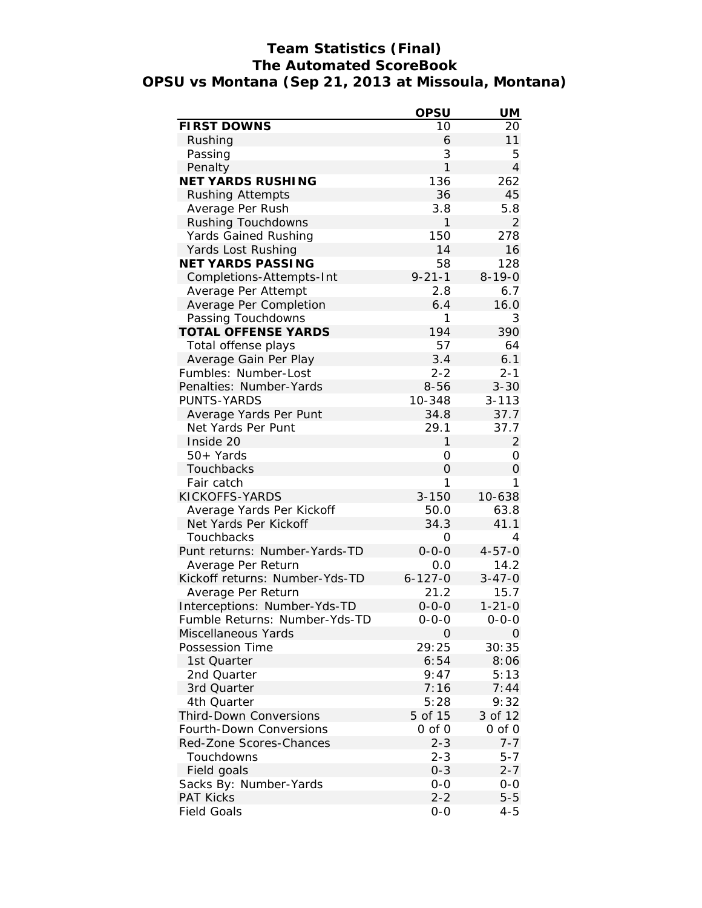# **Team Statistics (Final) The Automated ScoreBook OPSU vs Montana (Sep 21, 2013 at Missoula, Montana)**

|                                | <b>OPSU</b>    | UM             |
|--------------------------------|----------------|----------------|
| <b>FIRST DOWNS</b>             | 10             | 20             |
| Rushing                        | 6              | 11             |
| Passing                        | 3              | 5              |
| Penalty                        | 1              | $\overline{4}$ |
| <b>NET YARDS RUSHING</b>       | 136            | 262            |
| <b>Rushing Attempts</b>        | 36             | 45             |
| Average Per Rush               | 3.8            | 5.8            |
| <b>Rushing Touchdowns</b>      | 1              | $\overline{2}$ |
| <b>Yards Gained Rushing</b>    | 150            | 278            |
| Yards Lost Rushing             | 14             | 16             |
| <b>NET YARDS PASSING</b>       | 58             | 128            |
| Completions-Attempts-Int       | $9 - 21 - 1$   | $8 - 19 - 0$   |
| Average Per Attempt            | 2.8            | 6.7            |
| Average Per Completion         | 6.4            | 16.0           |
| Passing Touchdowns             | 1              | 3              |
| <b>TOTAL OFFENSE YARDS</b>     | 194            | 390            |
| Total offense plays            | 57             | 64             |
| Average Gain Per Play          | 3.4            | 6.1            |
| Fumbles: Number-Lost           | $2 - 2$        | $2 - 1$        |
| Penalties: Number-Yards        | $8 - 56$       | $3 - 30$       |
| PUNTS-YARDS                    | 10-348         | $3 - 113$      |
| Average Yards Per Punt         | 34.8           | 37.7           |
| Net Yards Per Punt             | 29.1           | 37.7           |
| Inside 20                      | 1              | $\overline{2}$ |
| $50+Yards$                     | 0              | 0              |
|                                | $\overline{O}$ |                |
| Touchbacks<br>Fair catch       | 1              | 0<br>1         |
| KICKOFFS-YARDS                 | $3 - 150$      |                |
|                                |                | 10-638         |
| Average Yards Per Kickoff      | 50.0           | 63.8           |
| Net Yards Per Kickoff          | 34.3           | 41.1           |
| Touchbacks                     | 0              | 4              |
| Punt returns: Number-Yards-TD  | $0 - 0 - 0$    | $4 - 57 - 0$   |
| Average Per Return             | 0.0            | 14.2           |
| Kickoff returns: Number-Yds-TD | $6 - 127 - 0$  | $3 - 47 - 0$   |
| Average Per Return             | 21.2           | 15.7           |
| Interceptions: Number-Yds-TD   | $0 - 0 - 0$    | $1 - 21 - 0$   |
| Fumble Returns: Number-Yds-TD  | 0-0-0          | 0-0-0          |
| Miscellaneous Yards            | 0              | 0              |
| Possession Time                | 29:25          | 30:35          |
| 1st Quarter                    | 6:54           | 8:06           |
| 2nd Quarter                    | 9:47           | 5:13           |
| 3rd Quarter                    | 7:16           | 7:44           |
| 4th Quarter                    | 5:28           | 9:32           |
| <b>Third-Down Conversions</b>  | 5 of 15        | 3 of 12        |
| Fourth-Down Conversions        | $0$ of $0$     | $0$ of $0$     |
| Red-Zone Scores-Chances        | $2 - 3$        | $7 - 7$        |
| Touchdowns                     | $2 - 3$        | $5 - 7$        |
| Field goals                    | $0 - 3$        | $2 - 7$        |
| Sacks By: Number-Yards         | $0 - 0$        | 0-0            |
| <b>PAT Kicks</b>               | $2 - 2$        | $5 - 5$        |
| <b>Field Goals</b>             | $0-0$          | $4 - 5$        |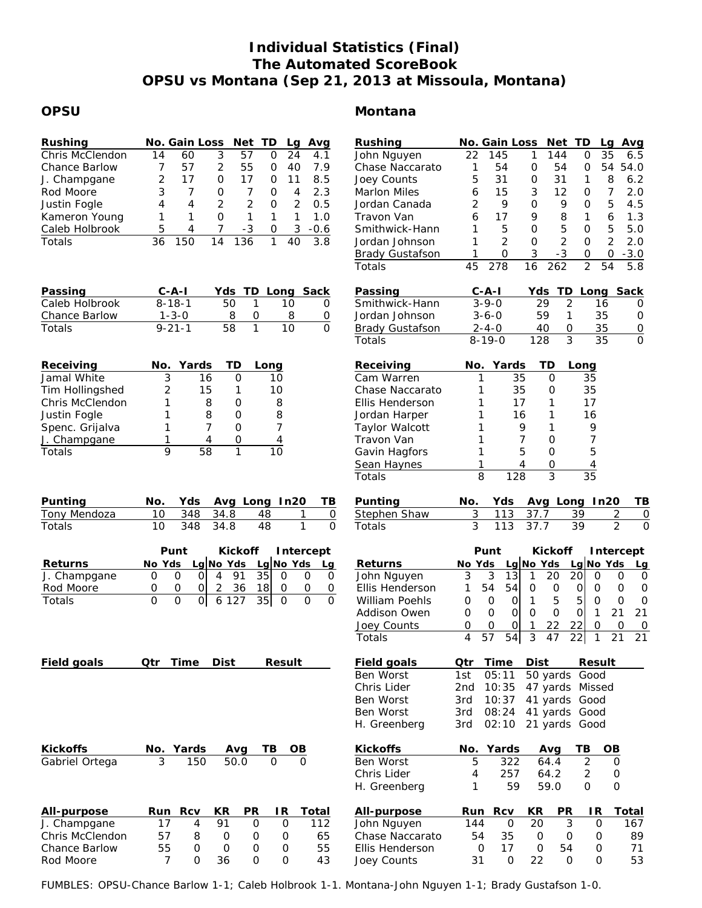# **Individual Statistics (Final) The Automated ScoreBook OPSU vs Montana (Sep 21, 2013 at Missoula, Montana)**

## **OPSU**

| <b>Rushing</b>       |    | No. Gain Loss Net TD |    |     |   | Lq            | Avg    |
|----------------------|----|----------------------|----|-----|---|---------------|--------|
| Chris McClendon      | 14 | 60                   | 3  | 57  | Ο | 24            | 4.1    |
| <b>Chance Barlow</b> |    | 57                   | 2  | 55  | Ο | 40            | 7.9    |
| J. Champgane         | 2  | 17                   | Ω  | 17  | Ω |               | 8.5    |
| Rod Moore            | 3  |                      | O  |     | Ω | 4             | 2.3    |
| Justin Fogle         | 4  | 4                    | 2  | 2   | O | $\mathcal{P}$ | 0.5    |
| Kameron Young        | 1  |                      | O  |     |   |               | 1.0    |
| Caleb Holbrook       | 5  | 4                    |    | -3  | 0 | 3             | $-0.6$ |
| Totals               |    |                      | 14 | 136 |   | 40            | 3.8    |

| Passing              | $C - A - I$  |     | Yds TD Long Sack |              |
|----------------------|--------------|-----|------------------|--------------|
| Caleb Holbrook       | $8 - 18 - 1$ | 50  | 10.              | $\mathbf{O}$ |
| <b>Chance Barlow</b> | $1 - 3 - 0$  |     |                  | O            |
| <b>Totals</b>        | $9 - 21 - 1$ | 58. | 10               | O            |

| Receiving       |   | No. Yards | - TD | Long |
|-----------------|---|-----------|------|------|
| Jamal White     |   | 16        |      | 10   |
| Tim Hollingshed | 2 | 15        |      | 10   |
| Chris McClendon |   | 8         | Ω    | 8    |
| Justin Fogle    |   | 8         | ი    | 8    |
| Spenc. Grijalva |   |           | Ω    |      |
| J. Champgane    |   |           |      |      |
| Totals          |   |           |      |      |

| Punting      |             |                | No. Yds Avg Long In20 TB |   |
|--------------|-------------|----------------|--------------------------|---|
| Tony Mendoza |             | 10 348 34.8 48 |                          | 0 |
| Totals       | 10 348 34.8 | -48            |                          | O |

|                | Punt |        |  |   |       |     | Kickoff Intercept |                        |  |
|----------------|------|--------|--|---|-------|-----|-------------------|------------------------|--|
| <b>Returns</b> |      | No Yds |  |   |       |     |                   | Lg No Yds Lg No Yds Lg |  |
| J. Champgane   |      |        |  | 4 | - 91  | 35I |                   |                        |  |
| Rod Moore      |      |        |  |   | 36    | 18I |                   |                        |  |
| Totals         |      |        |  |   | 6 127 | 35I |                   |                        |  |

|  | Field goals |  | <b>Qtr Time Dist</b> |  | Result | Field goals |  | <b>Qtr Time Dist</b> |  | <b>Result</b> |
|--|-------------|--|----------------------|--|--------|-------------|--|----------------------|--|---------------|
|--|-------------|--|----------------------|--|--------|-------------|--|----------------------|--|---------------|

| Montana |  |
|---------|--|
|---------|--|

| Rushing                |    | No. Gain Loss |    | <b>Net</b>    | TD            | La | Avq    |
|------------------------|----|---------------|----|---------------|---------------|----|--------|
| John Nguyen            | 22 | 145           | 1  | 144           | 0             | 35 | 6.5    |
| Chase Naccarato        |    | 54            | Ω  | 54            | O             | 54 | 54.0   |
| Joey Counts            | 5  | 31            | Ω  | 31            | 1             | 8  | 6.2    |
| <b>Marlon Miles</b>    | 6  | 15            | 3  | 12            | O             | 7  | 2.0    |
| Jordan Canada          | 2  | 9             | Ω  | 9             | O             | 5  | 4.5    |
| Travon Van             | 6  | 17            | 9  | 8             | 1             | 6  | 1.3    |
| Smithwick-Hann         |    | 5             | O  | 5             | O             | 5  | 5.0    |
| Jordan Johnson         |    | $\mathcal{P}$ | Ω  | $\mathcal{P}$ | O             | 2  | 2 O    |
| <b>Brady Gustafson</b> |    | Ω             | 3  | -3            | O             | O  | $-3.0$ |
| Totals                 | 45 | 278           | 16 | 262           | $\mathcal{P}$ | 54 | 5.8    |
|                        |    |               |    |               |               |    |        |

| Passing         | $C - A - I$  |     |                  | Yds TD Long Sack |   |
|-----------------|--------------|-----|------------------|------------------|---|
| Smithwick-Hann  | $3 - 9 - 0$  | 29  |                  | 16               | O |
| Jordan Johnson  | $3 - 6 - 0$  | 59  |                  | 35               | O |
| Brady Gustafson | $2 - 4 - 0$  | 40  | $\left( \right)$ | 35               | O |
| Totals          | $8 - 19 - 0$ | 128 |                  | 35               | O |

| Receiving             | No. Yards | TD | Long |
|-----------------------|-----------|----|------|
| Cam Warren            | 35        | O) | 35   |
| Chase Naccarato       | 35        |    | 35   |
| Ellis Henderson       | 17        |    | 17   |
| Jordan Harper         | 16        |    | 16   |
| <b>Taylor Walcott</b> | 9         |    | 9    |
| Travon Van            |           | Ω  |      |
| Gavin Hagfors         | 5         | Ω  | 5    |
| Sean Haynes           |           |    | 4    |
| Totals                | 128       | κ  | 35   |

| Punting      |            |      | No. Yds Avg Long In20 TB |     |
|--------------|------------|------|--------------------------|-----|
| Stephen Shaw |            |      | 3 113 37.7 39 2 0        |     |
| Totals       | 3 113 37.7 | - 39 |                          | - 0 |

|                       |     | <b>Kickoff</b><br>Punt |    |      |                 | Intercept       |        |           |    |
|-----------------------|-----|------------------------|----|------|-----------------|-----------------|--------|-----------|----|
| <b>Returns</b>        |     | No Yds                 |    |      | Lg No Yds       |                 |        | Lg No Yds | Lg |
| John Nguyen           | 3   | 3                      | 13 |      | 20              | 20 <sup>1</sup> | O      | 0         | 0  |
| Ellis Henderson       | 1   | 54                     | 54 | Ω    | O               | Ο               | O      | 0         | 0  |
| <b>William Poehls</b> | Ο   | Ο                      | Ο  | 1    | 5               | 5               | 0      | 0         | 0  |
| Addison Owen          | O   | Ο                      | 0  | Ω    | Ω               | Ο               | 1      | 21        | 21 |
| Joey Counts           | 0   | O                      | 0  | 1    | 22              | 22              | 0      | Ο         | 0  |
| Totals                | 4   | 57                     | 54 | 3    | 47              | 22 <sub>1</sub> | 1      | 21        | 21 |
|                       |     |                        |    |      |                 |                 |        |           |    |
| <b>Field goals</b>    | Qtr | <b>Time</b>            |    | Dist |                 |                 | Result |           |    |
| <b>Ben Worst</b>      | 1st | 05:11                  |    |      | 50 yards Good   |                 |        |           |    |
| Chris Lider           | 2nd | 10:35                  |    |      | 47 yards Missed |                 |        |           |    |
| <b>Ben Worst</b>      | 3rd | 10:37                  |    |      | 41 yards Good   |                 |        |           |    |
| <b>Ben Worst</b>      | 3rd | 08:24                  |    |      | 41 yards Good   |                 |        |           |    |

H. Greenberg 3rd 02:10 21 yards Good

| 322<br>64.4      |   |                                      |
|------------------|---|--------------------------------------|
|                  |   | O                                    |
| 257              |   | 0                                    |
| 59               |   | 0                                    |
| <b>KR</b><br>Rcv |   | Total                                |
| 20<br>0          | 3 | 167<br>O                             |
| 35<br>O          | 0 | 89<br>O                              |
| 17<br>0          |   | 71<br>0                              |
| 22<br>O          |   | 53<br>O                              |
|                  |   | 64.2<br>59.0<br><b>PR</b><br>R<br>54 |

FUMBLES: OPSU-Chance Barlow 1-1; Caleb Holbrook 1-1. Montana-John Nguyen 1-1; Brady Gustafson 1-0.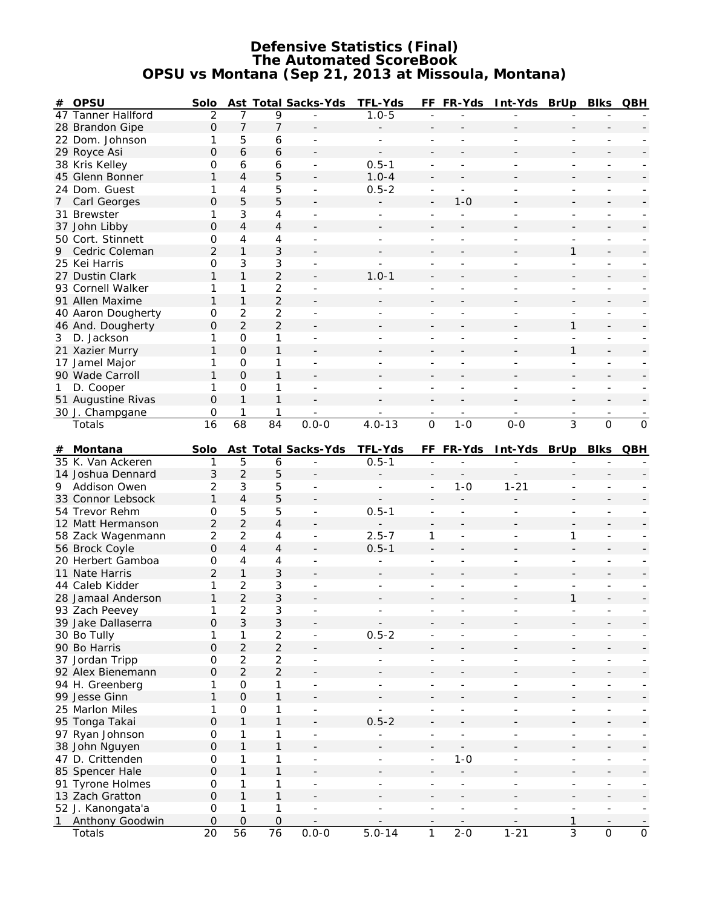### **Defensive Statistics (Final) The Automated ScoreBook OPSU vs Montana (Sep 21, 2013 at Missoula, Montana)**

| #  | <b>OPSU</b>               | Solo                      |                     |                           | <b>Ast Total Sacks-Yds</b> | <b>TFL-Yds</b>           |                          | FF FR-Yds                | Int-Yds BrUp Blks QBH    |                          |                              |                          |
|----|---------------------------|---------------------------|---------------------|---------------------------|----------------------------|--------------------------|--------------------------|--------------------------|--------------------------|--------------------------|------------------------------|--------------------------|
|    | 47 Tanner Hallford        | $\overline{2}$            | 7                   | 9                         |                            | $1.0 - 5$                |                          |                          |                          |                          |                              |                          |
|    | 28 Brandon Gipe           | $\mathsf O$               | $\overline{7}$      | 7                         |                            |                          |                          |                          |                          |                          |                              |                          |
|    | 22 Dom. Johnson           | 1                         | 5                   | 6                         |                            | ÷,                       | $\blacksquare$           |                          |                          |                          |                              |                          |
|    | 29 Royce Asi              | $\Omega$                  | 6                   | 6                         |                            |                          | $\overline{\phantom{0}}$ |                          |                          |                          |                              |                          |
|    | 38 Kris Kelley            | 0                         | 6                   | 6                         | $\overline{\phantom{a}}$   | $0.5 - 1$                | $\overline{\phantom{a}}$ |                          |                          | $\overline{\phantom{0}}$ | $\overline{\phantom{a}}$     |                          |
|    | 45 Glenn Bonner           | $\mathbf{1}$              | $\overline{4}$      | 5                         |                            | $1.0 - 4$                |                          |                          |                          |                          |                              |                          |
|    | 24 Dom. Guest             | 1                         | 4                   | 5                         | $\overline{\phantom{a}}$   | $0.5 - 2$                | $\overline{\phantom{m}}$ | $\blacksquare$           | ÷                        | $\overline{\phantom{0}}$ | $\overline{\phantom{a}}$     |                          |
|    |                           | 0                         |                     |                           |                            |                          |                          | $1 - 0$                  |                          |                          |                              |                          |
| 7  | Carl Georges              |                           | 5                   | 5                         |                            |                          | $\overline{a}$           |                          |                          |                          |                              |                          |
|    | 31 Brewster               | 1                         | 3                   | 4                         | $\overline{\phantom{a}}$   | ÷                        | $\overline{\phantom{a}}$ | ÷.                       |                          | $\overline{a}$           | $\overline{\phantom{a}}$     |                          |
|    | 37 John Libby             | $\Omega$                  | 4                   | 4                         |                            |                          |                          |                          |                          |                          |                              |                          |
|    | 50 Cort. Stinnett         | 0                         | 4                   | 4                         |                            |                          |                          |                          |                          |                          |                              |                          |
| 9  | Cedric Coleman            | $\overline{c}$            | 1                   | 3                         |                            |                          |                          |                          |                          | 1                        |                              |                          |
|    | 25 Kei Harris             | $\mathbf 0$               | 3                   | 3                         |                            |                          |                          |                          | ÷,                       |                          |                              |                          |
|    | 27 Dustin Clark           | 1                         | $\mathbf{1}$        | $\overline{2}$            |                            | $1.0 - 1$                |                          |                          |                          |                          |                              |                          |
|    | 93 Cornell Walker         | 1                         | 1                   | $\overline{a}$            |                            |                          |                          |                          |                          |                          | $\overline{\phantom{a}}$     |                          |
|    | 91 Allen Maxime           | $\mathbf{1}$              | $\mathbf{1}$        | $\overline{c}$            |                            |                          |                          |                          |                          |                          |                              |                          |
|    | 40 Aaron Dougherty        | 0                         | $\overline{2}$      | 2                         | $\sim$                     | $\overline{\phantom{0}}$ | $\overline{\phantom{a}}$ | L,                       | ÷                        | $\blacksquare$           | $\overline{\phantom{a}}$     |                          |
|    | 46 And. Dougherty         | 0                         | $\overline{c}$      | $\overline{2}$            |                            |                          |                          |                          |                          | 1                        |                              |                          |
| 3  | D. Jackson                | 1                         | $\mathbf 0$         | 1                         | $\sim$                     | ÷.                       | $\blacksquare$           |                          | ٠                        | $\overline{a}$           | $\blacksquare$               |                          |
|    | 21 Xazier Murry           | $\mathbf{1}$              | $\mathbf 0$         | 1                         |                            |                          |                          |                          |                          | $\mathbf{1}$             |                              |                          |
|    | 17 Jamel Major            | 1                         | 0                   | 1                         |                            |                          |                          |                          |                          |                          |                              |                          |
|    | 90 Wade Carroll           | 1                         | $\Omega$            | 1                         |                            |                          |                          |                          |                          |                          |                              |                          |
|    |                           | 1                         | 0                   | 1                         |                            |                          |                          |                          | ÷,                       |                          | ÷                            |                          |
| 1  | D. Cooper                 |                           |                     |                           |                            | $\overline{\phantom{0}}$ |                          |                          |                          | $\overline{\phantom{0}}$ |                              |                          |
|    | 51 Augustine Rivas        | $\mathbf 0$               | $\mathbf{1}$        | 1                         |                            |                          |                          |                          |                          | $\blacksquare$           | $\blacksquare$               |                          |
|    | 30 J. Champgane           | 0                         | 1                   | 1                         |                            |                          |                          |                          |                          |                          |                              |                          |
|    | Totals                    | 16                        | 68                  | 84                        | $0.0 - 0$                  | $4.0 - 13$               | $\overline{0}$           | $1 - 0$                  | $0-0$                    | 3                        | $\overline{0}$               | $\overline{0}$           |
|    | # Montana                 | Solo                      |                     |                           | Ast Total Sacks-Yds        | <b>TFL-Yds</b>           |                          | FF FR-Yds                | Int-Yds BrUp             |                          | BIKs QBH                     |                          |
|    | 35 K. Van Ackeren         | 1                         | 5                   | 6                         |                            |                          |                          |                          |                          |                          |                              |                          |
|    |                           |                           |                     |                           |                            |                          |                          |                          |                          |                          |                              |                          |
|    |                           |                           |                     |                           |                            | $0.5 - 1$                |                          |                          |                          |                          |                              |                          |
|    | 14 Joshua Dennard         | 3                         | $\overline{2}$      | 5                         |                            |                          |                          |                          |                          |                          |                              |                          |
| 9. | <b>Addison Owen</b>       | 2                         | 3                   | 5                         |                            | $\overline{a}$           | ÷,                       | $1 - 0$                  | $1 - 21$                 |                          |                              |                          |
|    | 33 Connor Lebsock         | 1                         | 4                   | 5                         |                            |                          |                          |                          |                          |                          |                              |                          |
|    | 54 Trevor Rehm            | 0                         | 5                   | 5                         |                            | $0.5 - 1$                |                          |                          |                          |                          |                              |                          |
|    | 12 Matt Hermanson         | $\overline{2}$            | $\overline{2}$      | $\overline{\mathcal{L}}$  |                            |                          | $\overline{\phantom{a}}$ |                          |                          |                          | $\overline{\phantom{a}}$     |                          |
|    | 58 Zack Wagenmann         | $\overline{c}$            | $\overline{2}$      | 4                         |                            | $2.5 - 7$                | 1                        |                          |                          | 1                        | $\overline{\phantom{a}}$     |                          |
|    | 56 Brock Coyle            | $\mathbf 0$               | $\overline{4}$      | 4                         |                            | $0.5 - 1$                |                          |                          |                          |                          |                              |                          |
|    | 20 Herbert Gamboa         | 0                         | 4                   | 4                         | $\overline{\phantom{a}}$   | $\overline{\phantom{0}}$ | $\overline{\phantom{a}}$ | $\overline{\phantom{a}}$ | ÷                        | $\overline{\phantom{0}}$ | $\overline{\phantom{a}}$     |                          |
|    | 11 Nate Harris            | $\overline{2}$            | $\mathbf 1$         | 3                         |                            |                          |                          |                          |                          |                          |                              |                          |
|    | 44 Caleb Kidder           | 1                         | $\overline{2}$      | 3                         | $\blacksquare$             | ÷                        | L,                       |                          |                          | $\overline{a}$           |                              |                          |
|    | 28 Jamaal Anderson        | $\mathbf{1}$              | $\overline{2}$      | 3                         |                            |                          |                          |                          |                          | $\mathbf{1}$             |                              |                          |
|    |                           | 1                         |                     |                           |                            |                          |                          |                          |                          |                          |                              |                          |
|    | 93 Zach Peevey            |                           | 2                   | 3                         |                            |                          |                          |                          |                          |                          |                              |                          |
|    | 39 Jake Dallaserra        | 0                         | $\sqrt{3}$          | 3                         | $\overline{\phantom{a}}$   |                          |                          |                          | $\overline{\phantom{0}}$ | $\overline{\phantom{0}}$ | ٠                            |                          |
|    | 30 Bo Tully               | 1                         | 1                   | $\overline{c}$            |                            | $0.5 - 2$                |                          |                          |                          |                          |                              |                          |
|    | 90 Bo Harris              | $\mathsf{O}\xspace$       | $\overline{2}$      | $\overline{2}$            |                            |                          |                          |                          |                          |                          |                              |                          |
|    | 37 Jordan Tripp           | 0                         | $\overline{c}$      | $\overline{c}$            |                            |                          | $\overline{\phantom{a}}$ |                          |                          | $\overline{\phantom{a}}$ | $\blacksquare$               |                          |
|    | 92 Alex Bienemann         | $\mathsf O$               | $\overline{2}$      | $\overline{2}$            |                            |                          |                          |                          |                          |                          | $\overline{\phantom{a}}$     |                          |
|    | 94 H. Greenberg           | 1                         | $\mathsf{O}\xspace$ | 1                         | $\overline{\phantom{a}}$   | $\overline{\phantom{a}}$ | $\overline{\phantom{a}}$ | ÷,                       | ÷,                       | $\overline{\phantom{0}}$ | $\overline{\phantom{a}}$     |                          |
|    | 99 Jesse Ginn             | 1                         | $\mathbf 0$         | 1                         |                            |                          |                          |                          |                          |                          | $\qquad \qquad \blacksquare$ |                          |
|    | 25 Marlon Miles           | 1                         | $\mathsf{O}\xspace$ | 1                         | $\blacksquare$             | $\equiv$                 |                          | ÷,                       | ÷,                       | $\overline{a}$           | $\overline{\phantom{a}}$     | $\overline{\phantom{a}}$ |
|    | 95 Tonga Takai            | $\mathsf{O}\xspace$       | $\mathbf{1}$        | $\mathbf{1}$              |                            | $0.5 - 2$                |                          |                          |                          |                          | $\overline{\phantom{a}}$     |                          |
|    | 97 Ryan Johnson           | $\mbox{O}$                | 1                   | 1                         | $\overline{\phantom{a}}$   | $\overline{a}$           | $\overline{a}$           | $\overline{a}$           | $\overline{a}$           | $\overline{a}$           | $\overline{\phantom{0}}$     |                          |
|    | 38 John Nguyen            | $\mathsf O$               | 1                   | 1                         |                            |                          |                          |                          |                          |                          |                              |                          |
|    | 47 D. Crittenden          | $\mbox{O}$                | 1                   | 1                         | $\overline{\phantom{a}}$   | ÷,                       | $\overline{\phantom{a}}$ | $1 - 0$                  | ÷,                       | $\overline{\phantom{a}}$ | $\overline{\phantom{a}}$     |                          |
|    | 85 Spencer Hale           | $\mathsf{O}\xspace$       | $\mathbf{1}$        | 1                         |                            |                          |                          |                          |                          |                          |                              |                          |
|    | 91 Tyrone Holmes          | $\mbox{O}$                | 1                   | 1                         | $\frac{1}{2}$              |                          |                          | ÷,                       |                          | $\overline{\phantom{0}}$ | $\overline{\phantom{a}}$     |                          |
|    | 13 Zach Gratton           | $\mathsf{O}\xspace$       | $\mathbf{1}$        | $\mathbf{1}$              |                            |                          |                          |                          |                          |                          | $\overline{\phantom{a}}$     |                          |
|    |                           | 0                         | 1                   | 1                         | $\overline{\phantom{a}}$   | $\overline{\phantom{0}}$ | ÷                        | ÷                        | ÷,                       | $\overline{\phantom{0}}$ | $\overline{\phantom{a}}$     | $\sim$                   |
| 1  | 52 J. Kanongata'a         |                           |                     |                           |                            |                          |                          |                          |                          |                          |                              |                          |
|    | Anthony Goodwin<br>Totals | $\mathsf{O}\xspace$<br>20 | $\mathbf 0$<br>56   | $\mathsf{O}\xspace$<br>76 | $0.0 - 0$                  | $5.0 - 14$               | 1                        | $2 - 0$                  | $1 - 21$                 | 1<br>$\overline{3}$      | $\mathsf{O}\xspace$          | $\mathsf{O}\xspace$      |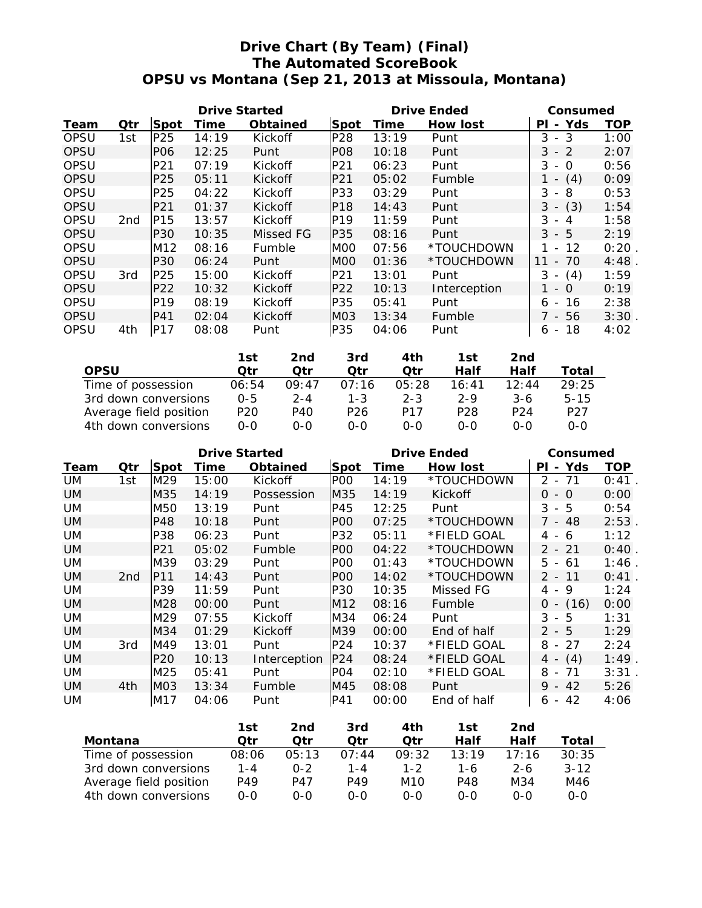# **Drive Chart (By Team) (Final) The Automated ScoreBook OPSU vs Montana (Sep 21, 2013 at Missoula, Montana)**

|             |                 |                 | <b>Drive Started</b> |                 |                  | <b>Drive Ended</b> | Consumed        |                                                 |            |
|-------------|-----------------|-----------------|----------------------|-----------------|------------------|--------------------|-----------------|-------------------------------------------------|------------|
| Team        | Qtr             | Spot            | Time                 | <b>Obtained</b> | <b>Spot</b>      | Time               | <b>How lost</b> | - Yds<br>ΡI                                     | <b>TOP</b> |
| OPSU        | 1st             | P25             | 14:19                | Kickoff         | P28              | 13:19              | Punt            | 3<br>3<br>$\overline{\phantom{a}}$              | 1:00       |
| <b>OPSU</b> |                 | <b>PO6</b>      | 12:25                | Punt            | <b>PO8</b>       | 10:18              | Punt            | 3<br>$-2$                                       | 2:07       |
| OPSU        |                 | P <sub>21</sub> | 07:19                | Kickoff         | P21              | 06:23              | Punt            | 3<br>$\Omega$<br>$\overline{\phantom{a}}$       | 0:56       |
| <b>OPSU</b> |                 | P <sub>25</sub> | 05:11                | Kickoff         | P <sub>21</sub>  | 05:02              | Fumble          | (4)<br>$\overline{\phantom{a}}$                 | 0:09       |
| OPSU        |                 | P <sub>25</sub> | 04:22                | Kickoff         | IP33             | 03:29              | Punt            | 3<br>8<br>$\overline{\phantom{a}}$              | 0:53       |
| <b>OPSU</b> |                 | P21             | 01:37                | Kickoff         | P <sub>18</sub>  | 14:43              | Punt            | (3)<br>3<br>$\overline{\phantom{a}}$            | 1:54       |
| OPSU        | 2 <sub>nd</sub> | P <sub>15</sub> | 13:57                | Kickoff         | P <sub>19</sub>  | 11:59              | Punt            | 3<br>$\overline{A}$<br>$\overline{\phantom{a}}$ | 1:58       |
| <b>OPSU</b> |                 | P30             | 10:35                | Missed FG       | P35              | 08:16              | Punt            | $3 - 5$                                         | 2:19       |
| OPSU        |                 | M <sub>12</sub> | 08:16                | Fumble          | MOO              | 07:56              | *TOUCHDOWN      | 12<br>$\blacksquare$                            | 0:20       |
| <b>OPSU</b> |                 | P30             | 06:24                | Punt            | M <sub>O</sub> O | 01:36              | *TOUCHDOWN      | 70<br>11<br>$\overline{\phantom{a}}$            | 4:48       |
| OPSU        | 3rd             | P25             | 15:00                | Kickoff         | IP21             | 13:01              | Punt            | 3<br>(4)<br>$\overline{\phantom{a}}$            | 1:59       |
| <b>OPSU</b> |                 | P <sub>22</sub> | 10:32                | Kickoff         | P <sub>22</sub>  | 10:13              | Interception    | $\Omega$<br>$\sim$                              | 0:19       |
| OPSU        |                 | P <sub>19</sub> | 08:19                | Kickoff         | P35              | 05:41              | Punt            | 16<br>6<br>$\overline{\phantom{a}}$             | 2:38       |
| OPSU        |                 | P41             | 02:04                | Kickoff         | MO3              | 13:34              | Fumble          | 7 - 56                                          | 3:30       |
| OPSU        | 4th             | P17             | 08:08                | Punt            | P35              | 04:06              | Punt            | 18<br>6<br>$\overline{\phantom{a}}$             | 4:02       |

|                        | 1st             | 2nd   | 3rd             | 4th             | 1st              | 2nd             |                 |
|------------------------|-----------------|-------|-----------------|-----------------|------------------|-----------------|-----------------|
| <b>OPSU</b>            | Otr             | Otr   | Qtr             | Otr             | Half             | Half            | Total           |
| Time of possession     | 06:54           | 09:47 | 07:16           | 05:28           | 16:41            | 12:44           | 29:25           |
| 3rd down conversions   | $0 - 5$         | 2-4   | $1 - 3$         | $2 - 3$         | $2 - 9$          | $3-6$           | $5 - 15$        |
| Average field position | P <sub>20</sub> | P40   | P <sub>26</sub> | P <sub>17</sub> | P <sub>2</sub> 8 | P <sub>24</sub> | P <sub>27</sub> |
| 4th down conversions   | 0-0             | 0-0   | ი-ი             | $0 - 0$         | $0 - 0$          | $0 - 0$         | $0 - 0$         |

|           |                 |                 | <b>Drive Started</b> |                 |                 | <b>Drive Ended</b> | Consumed        |                                       |          |
|-----------|-----------------|-----------------|----------------------|-----------------|-----------------|--------------------|-----------------|---------------------------------------|----------|
| Team      | Qtr             | Spot            | Time                 | <b>Obtained</b> | Spot            | Time               | <b>How lost</b> | Yds<br>ΡI<br>$\blacksquare$           | TOP      |
| UM        | 1st             | M29             | 15:00                | Kickoff         | PO <sub>O</sub> | 14:19              | *TOUCHDOWN      | 71<br>2<br>$\overline{\phantom{a}}$   | 0:41     |
| UM.       |                 | M35             | 14:19                | Possession      | M35             | 14:19              | Kickoff         | $\Omega$<br>- 0                       | 0:00     |
| UM        |                 | M50             | 13:19                | Punt            | P45             | 12:25              | Punt            | 3<br>- 5                              | 0:54     |
| UM.       |                 | P48             | 10:18                | Punt            | POO             | 07:25              | *TOUCHDOWN      | 7 - 48                                | 2:53     |
| UM.       |                 | P38             | 06:23                | Punt            | P32             | 05:11              | *FIELD GOAL     | 4-6                                   | 1:12     |
| UM.       |                 | P <sub>21</sub> | 05:02                | Fumble          | POO             | 04:22              | *TOUCHDOWN      | 2 - 21                                | 0:40     |
| UM.       |                 | M39             | 03:29                | Punt            | P <sub>O</sub>  | 01:43              | *TOUCHDOWN      | 5<br>- 61                             | 1:46     |
| UM.       | 2 <sub>nd</sub> | P <sub>11</sub> | 14:43                | Punt            | POO             | 14:02              | *TOUCHDOWN      | 2 - 11                                | 0:41     |
| UM        |                 | P39             | 11:59                | Punt            | P30             | 10:35              | Missed FG       | 4 - 9                                 | 1:24     |
| <b>UM</b> |                 | M28             | 00:00                | Punt            | M12             | 08:16              | Fumble          | (16)<br>0<br>$\overline{\phantom{a}}$ | 0:00     |
| UM.       |                 | M29             | 07:55                | Kickoff         | M34             | 06:24              | Punt            | 3<br>-5<br>$\overline{\phantom{a}}$   | 1:31     |
| UM.       |                 | M34             | 01:29                | Kickoff         | M39             | 00:00              | End of half     | $\mathcal{P}$<br>- 5                  | 1:29     |
| UM.       | 3rd             | M49             | 13:01                | Punt            | P24             | 10:37              | *FIELD GOAL     | 27<br>8<br>$\overline{\phantom{a}}$   | 2:24     |
| UM.       |                 | P <sub>20</sub> | 10:13                | Interception    | P24             | 08:24              | *FIELD GOAL     | (4)<br>4 -                            | $1:49$ . |
| UM.       |                 | M25             | 05:41                | Punt            | PO <sub>4</sub> | 02:10              | *FIELD GOAL     | 8<br>71<br>$\sim$                     | 3:31     |
| <b>UM</b> | 4th             | MO <sub>3</sub> | 13:34                | Fumble          | M45             | 08:08              | Punt            | $-42$<br>9                            | 5:26     |
| UM.       |                 | M17             | 04:06                | Punt            | P41             | 00:00              | End of half     | $6 - 42$                              | 4:06     |

|                        | 1st     | 2nd     | 3rd   | 4th     | 1st   | 2nd     |          |
|------------------------|---------|---------|-------|---------|-------|---------|----------|
| Montana                | Otr     | Otr     | Otr   | Otr     | Half  | Half    | Total    |
| Time of possession     | 08:06   | 05:13   | 07:44 | 09:32   | 13:19 | 17.16   | 30:35    |
| 3rd down conversions   | $1 - 4$ | $0 - 2$ | 1-4   | $1 - 2$ | 1-6   | $2 - 6$ | $3 - 12$ |
| Average field position | P49     | P47     | P49   | M10     | P48   | M34     | M46      |
| 4th down conversions   | 0-0     | $0 - 0$ | റ-റ   | 0-0     | 0-0   | $0 - 0$ | $0 - 0$  |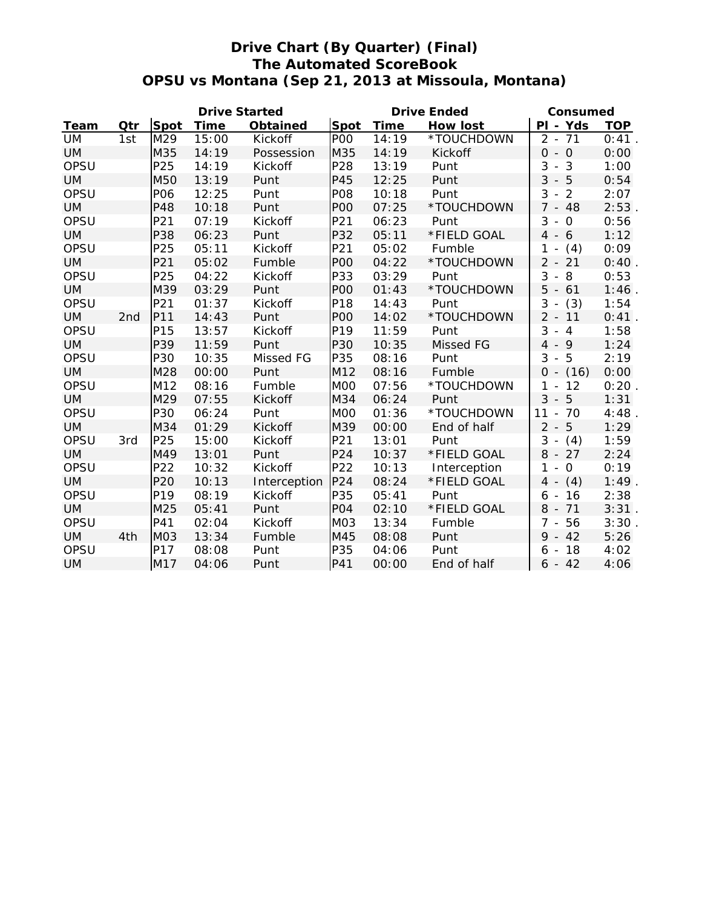# **Drive Chart (By Quarter) (Final) The Automated ScoreBook OPSU vs Montana (Sep 21, 2013 at Missoula, Montana)**

|           |                 |                 | <b>Drive Started</b> |                 |                  | <b>Drive Ended</b> | Consumed        |                                     |            |
|-----------|-----------------|-----------------|----------------------|-----------------|------------------|--------------------|-----------------|-------------------------------------|------------|
| Team      | Qtr             | Spot            | <b>Time</b>          | <b>Obtained</b> | <b>Spot</b>      | <b>Time</b>        | <b>How lost</b> | PI - Yds                            | <b>TOP</b> |
| <b>UM</b> | 1st             | M29             | 15:00                | Kickoff         | PO <sub>O</sub>  | 14:19              | *TOUCHDOWN      | $2 - 71$                            | 0:41       |
| <b>UM</b> |                 | M35             | 14:19                | Possession      | M35              | 14:19              | Kickoff         | $0 - 0$                             | 0:00       |
| OPSU      |                 | P25             | 14:19                | Kickoff         | P28              | 13:19              | Punt            | 3<br>$-3$                           | 1:00       |
| <b>UM</b> |                 | M50             | 13:19                | Punt            | P45              | 12:25              | Punt            | $3 - 5$                             | 0:54       |
| OPSU      |                 | P06             | 12:25                | Punt            | <b>P08</b>       | 10:18              | Punt            | 3<br>$-2$                           | 2:07       |
| <b>UM</b> |                 | P48             | 10:18                | Punt            | P <sub>O</sub> O | 07:25              | *TOUCHDOWN      | $7 - 48$                            | 2:53       |
| OPSU      |                 | P21             | 07:19                | Kickoff         | P21              | 06:23              | Punt            | $3 - 0$                             | 0:56       |
| <b>UM</b> |                 | P38             | 06:23                | Punt            | P32              | 05:11              | *FIELD GOAL     | $4 - 6$                             | 1:12       |
| OPSU      |                 | P25             | 05:11                | Kickoff         | P21              | 05:02              | Fumble          | (4)<br>1<br>$\blacksquare$          | 0:09       |
| <b>UM</b> |                 | P21             | 05:02                | Fumble          | <b>POO</b>       | 04:22              | *TOUCHDOWN      | $2 - 21$                            | 0:40       |
| OPSU      |                 | P25             | 04:22                | Kickoff         | P33              | 03:29              | Punt            | 3<br>$-8$                           | 0:53       |
| <b>UM</b> |                 | M39             | 03:29                | Punt            | <b>POO</b>       | 01:43              | *TOUCHDOWN      | $5 - 61$                            | $1:46$ .   |
| OPSU      |                 | P21             | 01:37                | Kickoff         | P18              | 14:43              | Punt            | 3<br>(3)<br>$\sim$                  | 1:54       |
| <b>UM</b> | 2 <sub>nd</sub> | P11             | 14:43                | Punt            | <b>POO</b>       | 14:02              | *TOUCHDOWN      | $2 - 11$                            | 0:41       |
| OPSU      |                 | P15             | 13:57                | Kickoff         | P19              | 11:59              | Punt            | 3<br>$-4$                           | 1:58       |
| <b>UM</b> |                 | P39             | 11:59                | Punt            | P30              | 10:35              | Missed FG       | $4 - 9$                             | 1:24       |
| OPSU      |                 | P30             | 10:35                | Missed FG       | P35              | 08:16              | Punt            | $-5$<br>3                           | 2:19       |
| <b>UM</b> |                 | M28             | 00:00                | Punt            | M12              | 08:16              | Fumble          | $0 - (16)$                          | 0:00       |
| OPSU      |                 | M12             | 08:16                | Fumble          | M <sub>0</sub>   | 07:56              | *TOUCHDOWN      | 12<br>1<br>$\overline{\phantom{a}}$ | 0:20       |
| <b>UM</b> |                 | M29             | 07:55                | Kickoff         | M34              | 06:24              | Punt            | $3 -$<br>5                          | 1:31       |
| OPSU      |                 | P30             | 06:24                | Punt            | M <sub>0</sub>   | 01:36              | *TOUCHDOWN      | 11<br>$-70$                         | $4:48$ .   |
| <b>UM</b> |                 | M34             | 01:29                | Kickoff         | M39              | 00:00              | End of half     | $2 - 5$                             | 1:29       |
| OPSU      | 3rd             | P25             | 15:00                | Kickoff         | P21              | 13:01              | Punt            | $3 -$<br>(4)                        | 1:59       |
| <b>UM</b> |                 | M49             | 13:01                | Punt            | P24              | 10:37              | *FIELD GOAL     | $8 - 27$                            | 2:24       |
| OPSU      |                 | P22             | 10:32                | Kickoff         | P22              | 10:13              | Interception    | 1<br>$-0$                           | 0:19       |
| <b>UM</b> |                 | P20             | 10:13                | Interception    | P24              | 08:24              | *FIELD GOAL     | $4 - (4)$                           | 1:49       |
| OPSU      |                 | P19             | 08:19                | Kickoff         | P35              | 05:41              | Punt            | 16<br>6<br>$\sim$                   | 2:38       |
| <b>UM</b> |                 | M25             | 05:41                | Punt            | PO <sub>4</sub>  | 02:10              | *FIELD GOAL     | $8 - 71$                            | 3:31.      |
| OPSU      |                 | P41             | 02:04                | Kickoff         | M <sub>0</sub> 3 | 13:34              | Fumble          | 56<br>$7 -$                         | 3:30.      |
| <b>UM</b> | 4th             | M <sub>03</sub> | 13:34                | Fumble          | M45              | 08:08              | Punt            | $9 - 42$                            | 5:26       |
| OPSU      |                 | P17             | 08:08                | Punt            | P35              | 04:06              | Punt            | 18<br>$6 -$                         | 4:02       |
| <b>UM</b> |                 | M17             | 04:06                | Punt            | P41              | 00:00              | End of half     | $6 - 42$                            | 4:06       |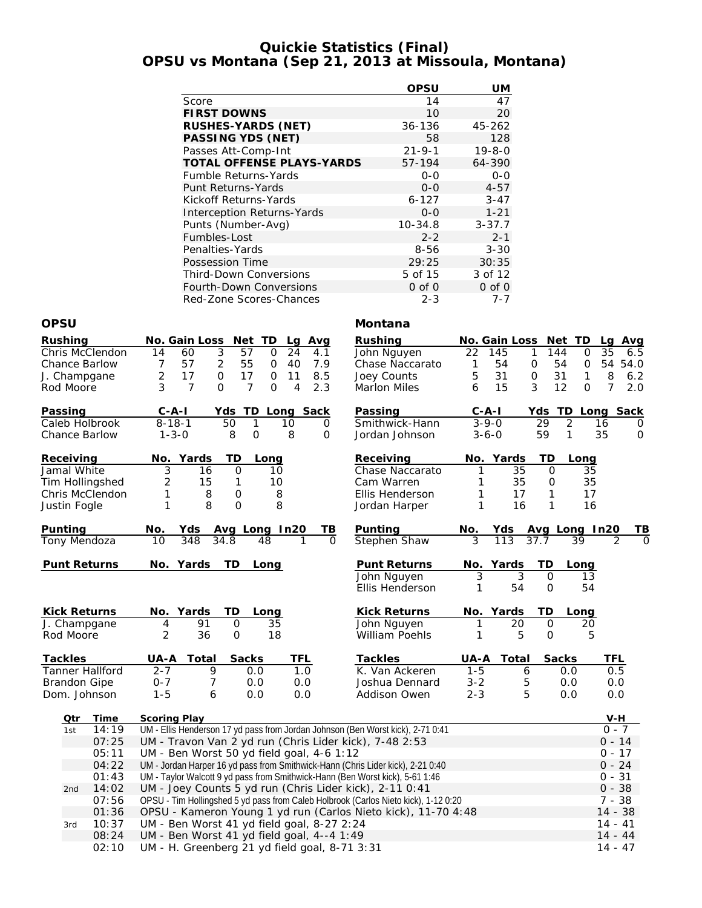## **Quickie Statistics (Final) OPSU vs Montana (Sep 21, 2013 at Missoula, Montana)**

|                                   | <b>OPSU</b>  | UM           |
|-----------------------------------|--------------|--------------|
| Score                             | 14           | 47           |
| <b>FIRST DOWNS</b>                | 10           | 20           |
| <b>RUSHES-YARDS (NET)</b>         | $36 - 136$   | 45-262       |
| <b>PASSING YDS (NET)</b>          | 58           | 128          |
| Passes Att-Comp-Int               | $21 - 9 - 1$ | $19 - 8 - 0$ |
| <b>TOTAL OFFENSE PLAYS-YARDS</b>  | 57-194       | 64-390       |
| Fumble Returns-Yards              | $0 - 0$      | $0 - 0$      |
| <b>Punt Returns-Yards</b>         | $0 - 0$      | $4 - 57$     |
| Kickoff Returns-Yards             | $6 - 127$    | $3 - 47$     |
| <b>Interception Returns-Yards</b> | $O-O$        | $1 - 21$     |
| Punts (Number-Avg)                | $10 - 34.8$  | $3 - 37.7$   |
| Fumbles-Lost                      | $2 - 2$      | $2 - 1$      |
| Penalties-Yards                   | 8-56         | $3 - 30$     |
| Possession Time                   | 29:25        | 30:35        |
| <b>Third-Down Conversions</b>     | 5 of 15      | 3 of 12      |
| Fourth-Down Conversions           | $0$ of $0$   | 0 of 0       |
| Red-Zone Scores-Chances           | $2 - 3$      | 7-7          |

| <b>OPSU</b>            |                |                                                                                             |                      |                  |              |        |              | Montana                                                                             |         |               |              |                    |                        |         |
|------------------------|----------------|---------------------------------------------------------------------------------------------|----------------------|------------------|--------------|--------|--------------|-------------------------------------------------------------------------------------|---------|---------------|--------------|--------------------|------------------------|---------|
| Rushing                |                |                                                                                             | No. Gain Loss Net TD |                  |              | Lg Avg |              | <b>Rushing</b>                                                                      |         | No. Gain Loss |              | Net TD             | Lg Avg                 |         |
| Chris McClendon        |                | 14                                                                                          | 60<br>3              | 57               | $\mathbf 0$  | 24     | 4.1          | John Nguyen                                                                         | 22      | 145           | 1            | 144<br>0           | 35                     | 6.5     |
| <b>Chance Barlow</b>   |                | $\overline{7}$                                                                              | $\overline{2}$<br>57 | 55               | 0            | 40     | 7.9          | Chase Naccarato                                                                     | 1       | 54            | $\mathbf 0$  | 54<br>0            | 54 54.0                |         |
| J. Champgane           |                | $\overline{2}$                                                                              | 17<br>$\mathbf 0$    | 17               | $\mathbf 0$  | 11     | 8.5          | Joey Counts                                                                         | 5       | 31            | $\mathbf 0$  | 31<br>$\mathbf{1}$ | 8                      | 6.2     |
| Rod Moore              |                | 3                                                                                           | $\overline{7}$<br>0  | $\overline{7}$   | $\Omega$     | 4      | 2.3          | <b>Marlon Miles</b>                                                                 | 6       | 15            | 3            | 12<br>$\Omega$     | $\overline{7}$         | 2.0     |
| Passing                |                | $C - A - I$                                                                                 |                      | Yds TD Long Sack |              |        |              | Passing                                                                             |         | $C - A - I$   |              | Yds TD Long Sack   |                        |         |
| Caleb Holbrook         |                | $8 - 18 - 1$                                                                                |                      | 50               | $\mathbf{1}$ | 10     | 0            | Smithwick-Hann                                                                      |         | $3 - 9 - 0$   | 29           | $\overline{2}$     | 16                     | 0       |
| <b>Chance Barlow</b>   |                | $1 - 3 - 0$                                                                                 |                      | 8                | $\mathbf 0$  | 8      | $\mathsf{O}$ | Jordan Johnson                                                                      |         | $3 - 6 - 0$   | 59           | 1                  | 35                     | $\circ$ |
| Receiving              |                |                                                                                             | No. Yards            | TD               | Long         |        |              | Receiving                                                                           |         | No. Yards     | TD           | Long               |                        |         |
| Jamal White            |                | $\overline{3}$                                                                              | 16                   | 0                | 10           |        |              | Chase Naccarato                                                                     | 1       | 35            | 0            | 35                 |                        |         |
| Tim Hollingshed        |                | 2                                                                                           | 15                   | $\mathbf{1}$     | 10           |        |              | Cam Warren                                                                          | 1       | 35            | $\mathbf 0$  | 35                 |                        |         |
| Chris McClendon        |                | 1                                                                                           | 8                    | $\mathbf 0$      | 8            |        |              | Ellis Henderson                                                                     | 1       | 17            | $\mathbf{1}$ | 17                 |                        |         |
| Justin Fogle           |                | 1                                                                                           | 8                    | $\mathsf{O}$     | 8            |        |              | Jordan Harper                                                                       | 1       | 16            | $\mathbf{1}$ | 16                 |                        |         |
| Punting                |                | No.                                                                                         | Yds Avg Long In20    |                  |              |        | TВ           | <b>Punting</b>                                                                      | No.     | Yds           |              | Avg Long In20      |                        | ΤВ      |
| Tony Mendoza           |                | 10                                                                                          | 348                  | 34.8             | 48           |        | $\Omega$     | Stephen Shaw                                                                        | 3       | 113           | 37.7         | 39                 |                        | Ω       |
| <b>Punt Returns</b>    |                | No. Yards                                                                                   |                      | TD               | Long         |        |              | <b>Punt Returns</b>                                                                 |         | No. Yards     | TD           | Long               |                        |         |
|                        |                |                                                                                             |                      |                  |              |        |              | John Nguyen                                                                         | 3       | 3             | $\mathbf 0$  | 13                 |                        |         |
|                        |                |                                                                                             |                      |                  |              |        |              | Ellis Henderson                                                                     | 1       | 54            | $\mathbf 0$  | 54                 |                        |         |
| <b>Kick Returns</b>    |                | No. Yards                                                                                   |                      | TD               | Long         |        |              | <b>Kick Returns</b>                                                                 |         | No. Yards     | TD           | Long               |                        |         |
| J. Champgane           |                | 4                                                                                           | 91                   | O                | 35           |        |              | John Nguyen                                                                         | 1       | 20            | $\mathbf 0$  | 20                 |                        |         |
| Rod Moore              |                | $\overline{2}$                                                                              | 36                   | 0                | 18           |        |              | William Poehls                                                                      | 1       | 5             | $\mathsf{O}$ | 5                  |                        |         |
| <b>Tackles</b>         |                | UA-A                                                                                        | Total                | <b>Sacks</b>     |              | TFL    |              | <b>Tackles</b>                                                                      | UA-A    | Total         |              | <b>Sacks</b>       | TFL                    |         |
| <b>Tanner Hallford</b> |                | $2 - 7$                                                                                     | 9                    |                  | 0.0          | 1.0    |              | K. Van Ackeren                                                                      | $1 - 5$ | 6             |              | 0.0                | 0.5                    |         |
| <b>Brandon Gipe</b>    |                | $0 - 7$                                                                                     | 7                    |                  | 0.0          | 0.0    |              | Joshua Dennard                                                                      | $3 - 2$ | 5             |              | 0.0                | 0.0                    |         |
| Dom. Johnson           |                | $1 - 5$                                                                                     | 6                    |                  | 0.0          | 0.0    |              | Addison Owen                                                                        | $2 - 3$ | 5             |              | 0.0                | 0.0                    |         |
| Qtr                    | Time           | <b>Scoring Play</b>                                                                         |                      |                  |              |        |              |                                                                                     |         |               |              |                    | V-H                    |         |
| 1st                    | 14:19          |                                                                                             |                      |                  |              |        |              | UM - Ellis Henderson 17 yd pass from Jordan Johnson (Ben Worst kick), 2-71 0:41     |         |               |              |                    | $0 - 7$                |         |
|                        | 07:25          |                                                                                             |                      |                  |              |        |              | UM - Travon Van 2 yd run (Chris Lider kick), 7-48 2:53                              |         |               |              |                    | $0 - 14$               |         |
|                        | 05:11          | UM - Ben Worst 50 yd field goal, 4-6 1:12                                                   |                      |                  |              |        |              |                                                                                     |         |               |              |                    | $0 - 17$               |         |
|                        | 04:22          |                                                                                             |                      |                  |              |        |              | UM - Jordan Harper 16 yd pass from Smithwick-Hann (Chris Lider kick), 2-21 0:40     |         |               |              |                    | $0 - 24$               |         |
|                        | 01:43          |                                                                                             |                      |                  |              |        |              | UM - Taylor Walcott 9 yd pass from Smithwick-Hann (Ben Worst kick), 5-61 1:46       |         |               |              |                    | $0 - 31$               |         |
| 2nd                    | 14:02          |                                                                                             |                      |                  |              |        |              | UM - Joey Counts 5 yd run (Chris Lider kick), 2-11 0:41                             |         |               |              |                    | $0 - 38$               |         |
|                        | 07:56          |                                                                                             |                      |                  |              |        |              | OPSU - Tim Hollingshed 5 yd pass from Caleb Holbrook (Carlos Nieto kick), 1-12 0:20 |         |               |              |                    | $7 - 38$               |         |
|                        | 01:36          |                                                                                             |                      |                  |              |        |              | OPSU - Kameron Young 1 yd run (Carlos Nieto kick), 11-70 4:48                       |         |               |              |                    | $14 - 38$              |         |
| 3rd                    | 10:37<br>08:24 | UM - Ben Worst 41 yd field goal, 8-27 2:24                                                  |                      |                  |              |        |              |                                                                                     |         |               |              |                    | $14 - 41$<br>$14 - 44$ |         |
|                        | 02:10          | UM - Ben Worst 41 yd field goal, 4--4 1:49<br>UM - H. Greenberg 21 yd field goal, 8-71 3:31 |                      |                  |              |        |              |                                                                                     |         |               |              |                    | $14 - 47$              |         |
|                        |                |                                                                                             |                      |                  |              |        |              |                                                                                     |         |               |              |                    |                        |         |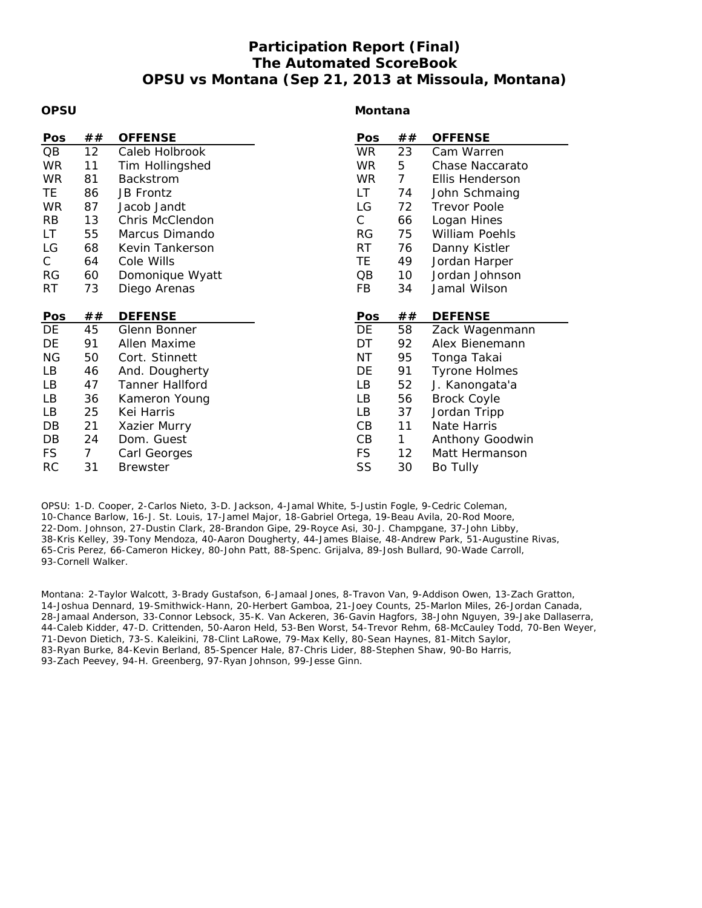## **Participation Report (Final) The Automated ScoreBook OPSU vs Montana (Sep 21, 2013 at Missoula, Montana)**

#### **OPSU**

#### **Montana**

| Pos       | ##             | <b>OFFENSE</b>         | Pos       | ## | <b>OFFENSE</b>        |
|-----------|----------------|------------------------|-----------|----|-----------------------|
| QB        | 12             | Caleb Holbrook         | <b>WR</b> | 23 | Cam Warren            |
| <b>WR</b> | 11             | Tim Hollingshed        | <b>WR</b> | 5  | Chase Naccarato       |
| <b>WR</b> | 81             | Backstrom              | <b>WR</b> | 7  | Ellis Henderson       |
| TE        | 86             | <b>JB Frontz</b>       | LT        | 74 | John Schmaing         |
| <b>WR</b> | 87             | Jacob Jandt            | LG        | 72 | <b>Trevor Poole</b>   |
| <b>RB</b> | 13             | Chris McClendon        | C         | 66 | Logan Hines           |
| LT        | 55             | Marcus Dimando         | <b>RG</b> | 75 | <b>William Poehls</b> |
| LG        | 68             | Kevin Tankerson        | <b>RT</b> | 76 | Danny Kistler         |
| C         | 64             | Cole Wills             | TE        | 49 | Jordan Harper         |
| <b>RG</b> | 60             | Domonique Wyatt        | QB        | 10 | Jordan Johnson        |
| RT.       | 73             | Diego Arenas           | FB        | 34 | Jamal Wilson          |
|           |                |                        |           |    |                       |
|           |                |                        |           |    |                       |
| Pos       | ##             | <b>DEFENSE</b>         | Pos       | ## | <b>DEFENSE</b>        |
| DE        | 45             | Glenn Bonner           | DE        | 58 | Zack Wagenmann        |
| DE        | 91             | Allen Maxime           | DT        | 92 | Alex Bienemann        |
| <b>NG</b> | 50             | Cort. Stinnett         | <b>NT</b> | 95 | Tonga Takai           |
| LB        | 46             | And. Dougherty         | DE        | 91 | <b>Tyrone Holmes</b>  |
| LB        | 47             | <b>Tanner Hallford</b> | LB        | 52 | J. Kanongata'a        |
| LB        | 36             | Kameron Young          | LB        | 56 | <b>Brock Coyle</b>    |
| LB        | 25             | Kei Harris             | LB        | 37 | Jordan Tripp          |
| DB        | 21             | Xazier Murry           | CB        | 11 | Nate Harris           |
| DB        | 24             | Dom. Guest             | CB        | 1  | Anthony Goodwin       |
| <b>FS</b> | $\overline{7}$ | Carl Georges           | <b>FS</b> | 12 | Matt Hermanson        |

OPSU: 1-D. Cooper, 2-Carlos Nieto, 3-D. Jackson, 4-Jamal White, 5-Justin Fogle, 9-Cedric Coleman, 10-Chance Barlow, 16-J. St. Louis, 17-Jamel Major, 18-Gabriel Ortega, 19-Beau Avila, 20-Rod Moore, 22-Dom. Johnson, 27-Dustin Clark, 28-Brandon Gipe, 29-Royce Asi, 30-J. Champgane, 37-John Libby, 38-Kris Kelley, 39-Tony Mendoza, 40-Aaron Dougherty, 44-James Blaise, 48-Andrew Park, 51-Augustine Rivas, 65-Cris Perez, 66-Cameron Hickey, 80-John Patt, 88-Spenc. Grijalva, 89-Josh Bullard, 90-Wade Carroll, 93-Cornell Walker.

Montana: 2-Taylor Walcott, 3-Brady Gustafson, 6-Jamaal Jones, 8-Travon Van, 9-Addison Owen, 13-Zach Gratton, 14-Joshua Dennard, 19-Smithwick-Hann, 20-Herbert Gamboa, 21-Joey Counts, 25-Marlon Miles, 26-Jordan Canada, 28-Jamaal Anderson, 33-Connor Lebsock, 35-K. Van Ackeren, 36-Gavin Hagfors, 38-John Nguyen, 39-Jake Dallaserra, 44-Caleb Kidder, 47-D. Crittenden, 50-Aaron Held, 53-Ben Worst, 54-Trevor Rehm, 68-McCauley Todd, 70-Ben Weyer, 71-Devon Dietich, 73-S. Kaleikini, 78-Clint LaRowe, 79-Max Kelly, 80-Sean Haynes, 81-Mitch Saylor, 83-Ryan Burke, 84-Kevin Berland, 85-Spencer Hale, 87-Chris Lider, 88-Stephen Shaw, 90-Bo Harris, 93-Zach Peevey, 94-H. Greenberg, 97-Ryan Johnson, 99-Jesse Ginn.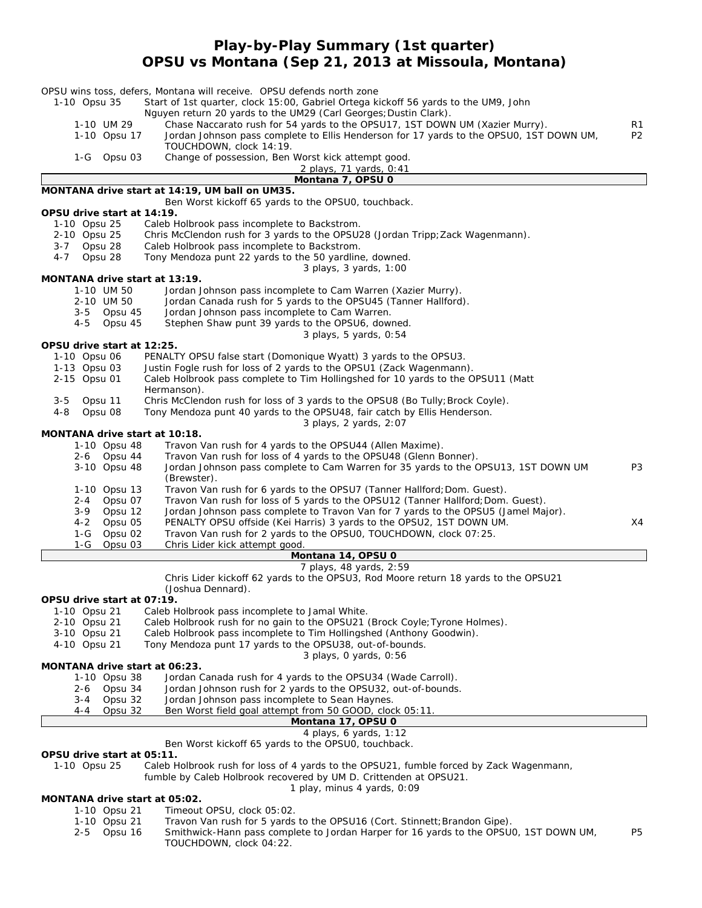## **Play-by-Play Summary (1st quarter) OPSU vs Montana (Sep 21, 2013 at Missoula, Montana)**

| OPSU wins toss, defers, Montana will receive. OPSU defends north zone |                                                                                                                    |                |
|-----------------------------------------------------------------------|--------------------------------------------------------------------------------------------------------------------|----------------|
| 1-10 Opsu 35                                                          | Start of 1st quarter, clock 15:00, Gabriel Ortega kickoff 56 yards to the UM9, John                                |                |
|                                                                       | Nguyen return 20 yards to the UM29 (Carl Georges; Dustin Clark).                                                   |                |
| 1-10 UM 29                                                            | Chase Naccarato rush for 54 yards to the OPSU17, 1ST DOWN UM (Xazier Murry).                                       | R1             |
| 1-10 Opsu 17                                                          | Jordan Johnson pass complete to Ellis Henderson for 17 yards to the OPSU0, 1ST DOWN UM,<br>TOUCHDOWN, clock 14:19. | P <sub>2</sub> |
| 1-G Opsu 03                                                           | Change of possession, Ben Worst kick attempt good.                                                                 |                |
|                                                                       | 2 plays, 71 yards, 0:41                                                                                            |                |
|                                                                       | Montana 7, OPSU 0                                                                                                  |                |
| MONTANA drive start at 14:19, UM ball on UM35.                        | Ben Worst kickoff 65 yards to the OPSU0, touchback.                                                                |                |
| OPSU drive start at 14:19.                                            |                                                                                                                    |                |
| 1-10 Opsu 25                                                          | Caleb Holbrook pass incomplete to Backstrom.                                                                       |                |
| 2-10 Opsu 25                                                          | Chris McClendon rush for 3 yards to the OPSU28 (Jordan Tripp; Zack Wagenmann).                                     |                |
| $3 - 7$<br>Opsu 28                                                    | Caleb Holbrook pass incomplete to Backstrom.                                                                       |                |
| 4-7<br>Opsu 28                                                        | Tony Mendoza punt 22 yards to the 50 yardline, downed.                                                             |                |
|                                                                       | 3 plays, 3 yards, 1:00                                                                                             |                |
| MONTANA drive start at 13:19.                                         |                                                                                                                    |                |
| 1-10 UM 50                                                            | Jordan Johnson pass incomplete to Cam Warren (Xazier Murry).                                                       |                |
| 2-10 UM 50                                                            | Jordan Canada rush for 5 yards to the OPSU45 (Tanner Hallford).                                                    |                |
| 3-5 Opsu 45                                                           | Jordan Johnson pass incomplete to Cam Warren.                                                                      |                |
| 4-5<br>Opsu 45                                                        | Stephen Shaw punt 39 yards to the OPSU6, downed.                                                                   |                |
|                                                                       | 3 plays, 5 yards, 0:54                                                                                             |                |
| OPSU drive start at 12:25.                                            |                                                                                                                    |                |
| 1-10 Opsu 06                                                          | PENALTY OPSU false start (Domonique Wyatt) 3 yards to the OPSU3.                                                   |                |
| 1-13 Opsu 03                                                          | Justin Fogle rush for loss of 2 yards to the OPSU1 (Zack Wagenmann).                                               |                |
| 2-15 Opsu 01                                                          | Caleb Holbrook pass complete to Tim Hollingshed for 10 yards to the OPSU11 (Matt                                   |                |
| Hermanson).<br>$3 - 5$<br>Opsu 11                                     | Chris McClendon rush for loss of 3 yards to the OPSU8 (Bo Tully; Brock Coyle).                                     |                |
| Opsu 08<br>4-8                                                        | Tony Mendoza punt 40 yards to the OPSU48, fair catch by Ellis Henderson.                                           |                |
|                                                                       | 3 plays, 2 yards, 2:07                                                                                             |                |
| MONTANA drive start at 10:18.                                         |                                                                                                                    |                |
| 1-10 Opsu 48                                                          | Travon Van rush for 4 yards to the OPSU44 (Allen Maxime).                                                          |                |
| 2-6 Opsu 44                                                           | Travon Van rush for loss of 4 yards to the OPSU48 (Glenn Bonner).                                                  |                |
| 3-10 Opsu 48                                                          | Jordan Johnson pass complete to Cam Warren for 35 yards to the OPSU13, 1ST DOWN UM                                 | P3             |
| (Brewster).                                                           |                                                                                                                    |                |
| 1-10 Opsu 13                                                          | Travon Van rush for 6 yards to the OPSU7 (Tanner Hallford; Dom. Guest).                                            |                |
| Opsu 07<br>2-4                                                        | Travon Van rush for loss of 5 yards to the OPSU12 (Tanner Hallford; Dom. Guest).                                   |                |
| $3-9$<br>Opsu 12                                                      | Jordan Johnson pass complete to Travon Van for 7 yards to the OPSU5 (Jamel Major).                                 |                |
| Opsu 05<br>4-2                                                        | PENALTY OPSU offside (Kei Harris) 3 yards to the OPSU2, 1ST DOWN UM.                                               | X4             |
| $1-G$<br>Opsu 02                                                      | Travon Van rush for 2 yards to the OPSU0, TOUCHDOWN, clock 07:25.                                                  |                |
| $1-G$<br>Opsu 03                                                      | Chris Lider kick attempt good.                                                                                     |                |
|                                                                       | Montana 14, OPSU 0                                                                                                 |                |
|                                                                       | 7 plays, 48 yards, 2:59                                                                                            |                |
|                                                                       | Chris Lider kickoff 62 yards to the OPSU3, Rod Moore return 18 yards to the OPSU21                                 |                |
| (Joshua Dennard).                                                     |                                                                                                                    |                |
| OPSU drive start at 07:19.<br>1-10 Opsu 21                            | Caleb Holbrook pass incomplete to Jamal White.                                                                     |                |
| 2-10 Opsu 21                                                          | Caleb Holbrook rush for no gain to the OPSU21 (Brock Coyle; Tyrone Holmes).                                        |                |
| 3-10 Opsu 21                                                          | Caleb Holbrook pass incomplete to Tim Hollingshed (Anthony Goodwin).                                               |                |
| 4-10 Opsu 21                                                          | Tony Mendoza punt 17 yards to the OPSU38, out-of-bounds.                                                           |                |
|                                                                       | 3 plays, 0 yards, 0:56                                                                                             |                |
| MONTANA drive start at 06:23.                                         |                                                                                                                    |                |
| 1-10 Opsu 38                                                          | Jordan Canada rush for 4 yards to the OPSU34 (Wade Carroll).                                                       |                |
| 2-6<br>Opsu 34                                                        | Jordan Johnson rush for 2 yards to the OPSU32, out-of-bounds.                                                      |                |
| 3-4<br>Opsu 32                                                        | Jordan Johnson pass incomplete to Sean Haynes.                                                                     |                |
| Opsu 32<br>4-4                                                        | Ben Worst field goal attempt from 50 GOOD, clock 05:11.                                                            |                |
|                                                                       | Montana 17, OPSU 0                                                                                                 |                |
|                                                                       | 4 plays, 6 yards, 1:12                                                                                             |                |
|                                                                       | Ben Worst kickoff 65 yards to the OPSU0, touchback.                                                                |                |
| OPSU drive start at 05:11.                                            |                                                                                                                    |                |
| 1-10 Opsu 25                                                          | Caleb Holbrook rush for loss of 4 yards to the OPSU21, fumble forced by Zack Wagenmann,                            |                |
|                                                                       | fumble by Caleb Holbrook recovered by UM D. Crittenden at OPSU21.                                                  |                |

*1 play, minus 4 yards, 0:09*

#### **MONTANA drive start at 05:02.**

- 
- 1-10 Opsu 21 Timeout OPSU, clock 05:02. Travon Van rush for 5 yards to the OPSU16 (Cort. Stinnett; Brandon Gipe).
	- 2-5 Opsu 16 Smithwick-Hann pass complete to Jordan Harper for 16 yards to the OPSU0, 1ST DOWN UM, P5 TOUCHDOWN, clock 04:22.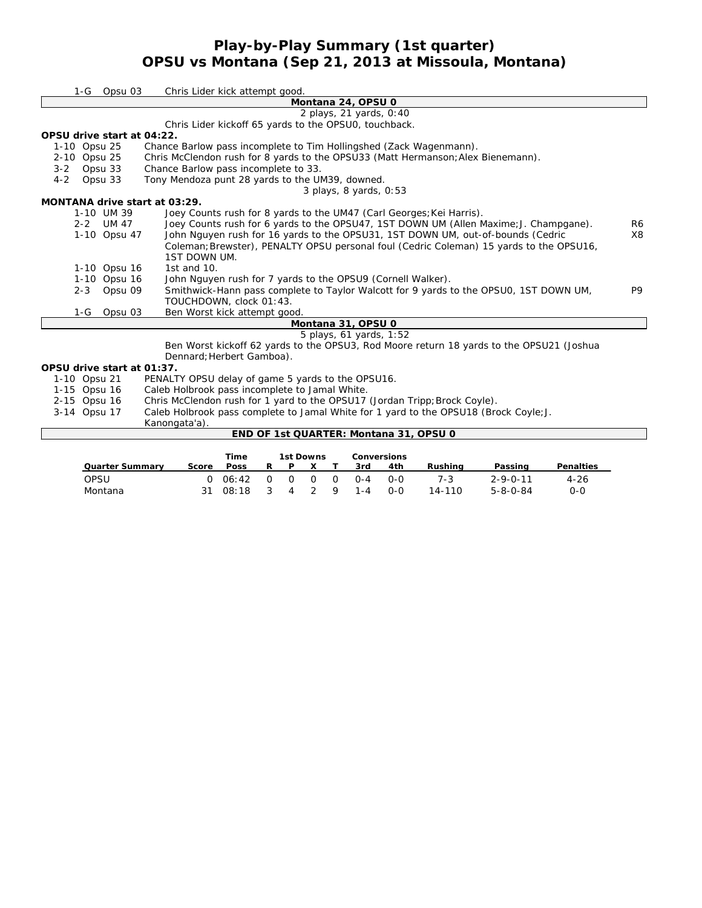## **Play-by-Play Summary (1st quarter) OPSU vs Montana (Sep 21, 2013 at Missoula, Montana)**

| 1-G                           | Opsu 03                | Chris Lider kick attempt good.                                                                                                                                      |                |
|-------------------------------|------------------------|---------------------------------------------------------------------------------------------------------------------------------------------------------------------|----------------|
|                               |                        | Montana 24, OPSU 0                                                                                                                                                  |                |
|                               |                        | 2 plays, 21 yards, 0:40                                                                                                                                             |                |
|                               |                        | Chris Lider kickoff 65 yards to the OPSU0, touchback.                                                                                                               |                |
| OPSU drive start at 04:22.    |                        |                                                                                                                                                                     |                |
| 1-10 Opsu 25                  |                        | Chance Barlow pass incomplete to Tim Hollingshed (Zack Wagenmann).                                                                                                  |                |
| 2-10 Opsu 25                  |                        | Chris McClendon rush for 8 yards to the OPSU33 (Matt Hermanson; Alex Bienemann).                                                                                    |                |
| Opsu 33<br>$3 - 2$            |                        | Chance Barlow pass incomplete to 33.                                                                                                                                |                |
| Opsu 33<br>$4 - 2$            |                        | Tony Mendoza punt 28 yards to the UM39, downed.                                                                                                                     |                |
|                               |                        | $3$ plays, $8$ yards, $0.53$                                                                                                                                        |                |
| MONTANA drive start at 03:29. |                        |                                                                                                                                                                     |                |
|                               | 1-10 UM 39             | Joey Counts rush for 8 yards to the UM47 (Carl Georges; Kei Harris).                                                                                                |                |
|                               | 2-2 UM 47              | Joey Counts rush for 6 yards to the OPSU47, 1ST DOWN UM (Allen Maxime; J. Champgane).                                                                               | R6             |
|                               | 1-10 Opsu 47           | John Nguyen rush for 16 yards to the OPSU31, 1ST DOWN UM, out-of-bounds (Cedric                                                                                     | X8             |
|                               |                        | Coleman; Brewster), PENALTY OPSU personal foul (Cedric Coleman) 15 yards to the OPSU16,                                                                             |                |
|                               |                        | 1ST DOWN UM.                                                                                                                                                        |                |
|                               | 1-10 Opsu 16           | 1st and 10.                                                                                                                                                         |                |
|                               | 1-10 Opsu 16           | John Nguyen rush for 7 yards to the OPSU9 (Cornell Walker).                                                                                                         |                |
| $2 - 3$                       | Opsu 09                | Smithwick-Hann pass complete to Taylor Walcott for 9 yards to the OPSU0, 1ST DOWN UM,                                                                               | P <sub>9</sub> |
|                               |                        | TOUCHDOWN, clock 01:43.                                                                                                                                             |                |
| $1-G$                         | Opsu 03                | Ben Worst kick attempt good                                                                                                                                         |                |
|                               |                        | Montana 31, OPSU 0                                                                                                                                                  |                |
|                               |                        | 5 plays, 61 yards, 1:52                                                                                                                                             |                |
|                               |                        | Ben Worst kickoff 62 yards to the OPSU3, Rod Moore return 18 yards to the OPSU21 (Joshua                                                                            |                |
|                               |                        | Dennard; Herbert Gamboa).                                                                                                                                           |                |
| OPSU drive start at 01:37.    |                        |                                                                                                                                                                     |                |
| 1-10 Opsu 21                  |                        | PENALTY OPSU delay of game 5 yards to the OPSU16.                                                                                                                   |                |
| 1-15 Opsu 16                  |                        | Caleb Holbrook pass incomplete to Jamal White.                                                                                                                      |                |
| 2-15 Opsu 16                  |                        | Chris McClendon rush for 1 yard to the OPSU17 (Jordan Tripp; Brock Coyle).<br>Caleb Holbrook pass complete to Jamal White for 1 yard to the OPSU18 (Brock Coyle; J. |                |
| 3-14 Opsu 17                  |                        |                                                                                                                                                                     |                |
|                               |                        | Kanongata'a).<br>END OF 1st QUARTER: Montana 31, OPSU 0                                                                                                             |                |
|                               |                        |                                                                                                                                                                     |                |
|                               |                        | <b>Time</b><br><b>1st Downs</b><br><b>Conversions</b>                                                                                                               |                |
|                               | <b>Quarter Summary</b> | <b>Penalties</b><br>Poss<br>R<br>P.<br>X<br>3rd<br>4th<br><b>Rushing</b><br>Passing<br>Score<br>т                                                                   |                |

OPSU 0 06:42 0 0 0 0 0-4 0-0 7-3 2-9-0-11 4-26 Montana 31 08:18 3 4 2 9 1-4 0-0 14-110 5-8-0-84 0-0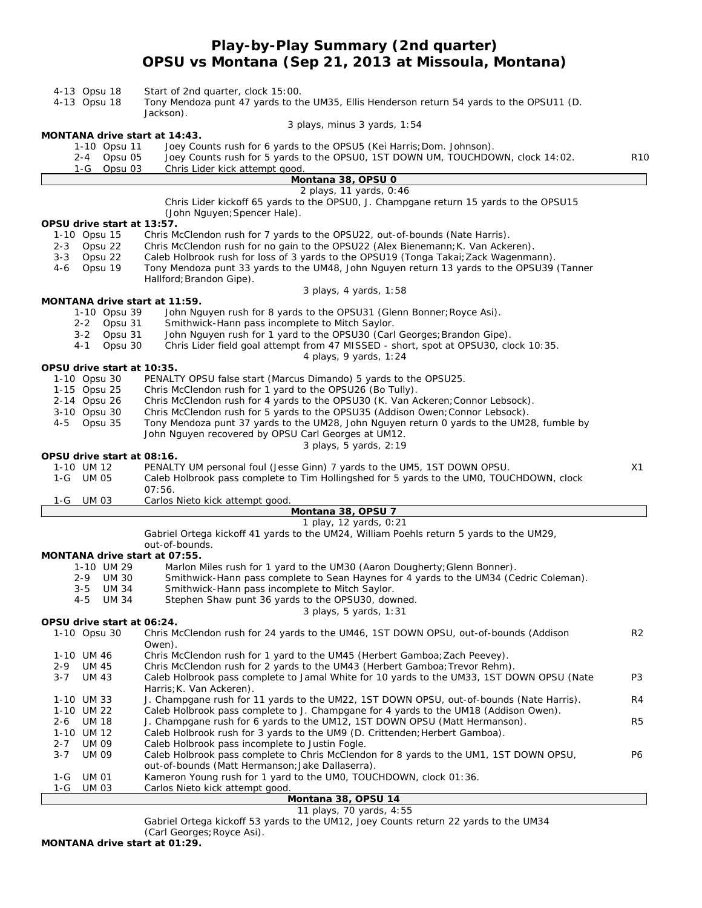# **Play-by-Play Summary (2nd quarter) OPSU vs Montana (Sep 21, 2013 at Missoula, Montana)**

| 4-13 Opsu 18<br>4-13 Opsu 18      | Start of 2nd quarter, clock 15:00.<br>Tony Mendoza punt 47 yards to the UM35, Ellis Henderson return 54 yards to the OPSU11 (D.                                    |                |
|-----------------------------------|--------------------------------------------------------------------------------------------------------------------------------------------------------------------|----------------|
|                                   | Jackson).                                                                                                                                                          |                |
| MONTANA drive start at 14:43.     | 3 plays, minus 3 yards, 1:54                                                                                                                                       |                |
| 1-10 Opsu 11<br>2-4 Opsu 05       | Joey Counts rush for 6 yards to the OPSU5 (Kei Harris; Dom. Johnson).<br>Joey Counts rush for 5 yards to the OPSU0, 1ST DOWN UM, TOUCHDOWN, clock 14:02.           | R10            |
| Opsu 03<br>1-G                    | Chris Lider kick attempt good.                                                                                                                                     |                |
|                                   | Montana 38, OPSU 0                                                                                                                                                 |                |
|                                   | 2 plays, 11 yards, 0:46                                                                                                                                            |                |
|                                   | Chris Lider kickoff 65 yards to the OPSU0, J. Champgane return 15 yards to the OPSU15<br>(John Nguyen; Spencer Hale).                                              |                |
| OPSU drive start at 13:57.        |                                                                                                                                                                    |                |
| 1-10 Opsu 15                      | Chris McClendon rush for 7 yards to the OPSU22, out-of-bounds (Nate Harris).                                                                                       |                |
| 2-3 Opsu 22                       | Chris McClendon rush for no gain to the OPSU22 (Alex Bienemann; K. Van Ackeren).                                                                                   |                |
| 3-3 Opsu 22                       | Caleb Holbrook rush for loss of 3 yards to the OPSU19 (Tonga Takai; Zack Wagenmann).                                                                               |                |
| Opsu 19<br>4-6                    | Tony Mendoza punt 33 yards to the UM48, John Nguyen return 13 yards to the OPSU39 (Tanner                                                                          |                |
|                                   | Hallford; Brandon Gipe).<br>3 plays, 4 yards, 1:58                                                                                                                 |                |
| MONTANA drive start at 11:59.     |                                                                                                                                                                    |                |
| 1-10 Opsu 39                      | John Nguyen rush for 8 yards to the OPSU31 (Glenn Bonner; Royce Asi).                                                                                              |                |
| 2-2 Opsu 31                       | Smithwick-Hann pass incomplete to Mitch Saylor.                                                                                                                    |                |
| 3-2 Opsu 31                       | John Nguyen rush for 1 yard to the OPSU30 (Carl Georges; Brandon Gipe).                                                                                            |                |
| Opsu 30<br>4-1                    | Chris Lider field goal attempt from 47 MISSED - short, spot at OPSU30, clock 10:35.<br>4 plays, 9 yards, 1:24                                                      |                |
| OPSU drive start at 10:35.        |                                                                                                                                                                    |                |
| 1-10 Opsu 30                      | PENALTY OPSU false start (Marcus Dimando) 5 yards to the OPSU25.                                                                                                   |                |
| 1-15 Opsu 25                      | Chris McClendon rush for 1 yard to the OPSU26 (Bo Tully).                                                                                                          |                |
| 2-14 Opsu 26                      | Chris McClendon rush for 4 yards to the OPSU30 (K. Van Ackeren; Connor Lebsock).                                                                                   |                |
| 3-10 Opsu 30                      | Chris McClendon rush for 5 yards to the OPSU35 (Addison Owen; Connor Lebsock).                                                                                     |                |
| 4-5 Opsu 35                       | Tony Mendoza punt 37 yards to the UM28, John Nguyen return 0 yards to the UM28, fumble by<br>John Nguyen recovered by OPSU Carl Georges at UM12.                   |                |
|                                   | 3 plays, 5 yards, 2:19                                                                                                                                             |                |
| OPSU drive start at 08:16.        |                                                                                                                                                                    |                |
| 1-10 UM 12                        | PENALTY UM personal foul (Jesse Ginn) 7 yards to the UM5, 1ST DOWN OPSU.                                                                                           | X1             |
| 1-G UM 05                         | Caleb Holbrook pass complete to Tim Hollingshed for 5 yards to the UMO, TOUCHDOWN, clock                                                                           |                |
| UM 03                             | 07:56.<br>Carlos Nieto kick attempt good.                                                                                                                          |                |
| 1-G                               | Montana 38, OPSU 7                                                                                                                                                 |                |
|                                   | 1 play, 12 yards, 0:21                                                                                                                                             |                |
|                                   | Gabriel Ortega kickoff 41 yards to the UM24, William Poehls return 5 yards to the UM29,                                                                            |                |
|                                   | out-of-bounds.                                                                                                                                                     |                |
| MONTANA drive start at 07:55.     |                                                                                                                                                                    |                |
| 1-10 UM 29<br>2-9 UM 30           | Marlon Miles rush for 1 yard to the UM30 (Aaron Dougherty; Glenn Bonner).<br>Smithwick-Hann pass complete to Sean Haynes for 4 yards to the UM34 (Cedric Coleman). |                |
| 3-5<br>UM 34                      | Smithwick-Hann pass incomplete to Mitch Saylor.                                                                                                                    |                |
| 4-5 UM 34                         | Stephen Shaw punt 36 yards to the OPSU30, downed.                                                                                                                  |                |
|                                   | 3 plays, 5 yards, 1:31                                                                                                                                             |                |
| OPSU drive start at 06:24.        |                                                                                                                                                                    |                |
| 1-10 Opsu 30                      | Chris McClendon rush for 24 yards to the UM46, 1ST DOWN OPSU, out-of-bounds (Addison                                                                               | R <sub>2</sub> |
| 1-10 UM 46                        | Owen).<br>Chris McClendon rush for 1 yard to the UM45 (Herbert Gamboa; Zach Peevey).                                                                               |                |
| 2-9<br>UM 45                      | Chris McClendon rush for 2 yards to the UM43 (Herbert Gamboa; Trevor Rehm).                                                                                        |                |
| <b>UM 43</b><br>$3 - 7$           | Caleb Holbrook pass complete to Jamal White for 10 yards to the UM33, 1ST DOWN OPSU (Nate                                                                          | P3             |
|                                   | Harris; K. Van Ackeren).                                                                                                                                           |                |
| 1-10 UM 33                        | J. Champgane rush for 11 yards to the UM22, 1ST DOWN OPSU, out-of-bounds (Nate Harris).                                                                            | R4             |
| 1-10 UM 22<br><b>UM 18</b><br>2-6 | Caleb Holbrook pass complete to J. Champgane for 4 yards to the UM18 (Addison Owen).<br>J. Champgane rush for 6 yards to the UM12, 1ST DOWN OPSU (Matt Hermanson). | R5             |
| 1-10 UM 12                        | Caleb Holbrook rush for 3 yards to the UM9 (D. Crittenden; Herbert Gamboa).                                                                                        |                |
| $2 - 7$<br>UM 09                  | Caleb Holbrook pass incomplete to Justin Fogle.                                                                                                                    |                |
| $3 - 7$<br><b>UM 09</b>           | Caleb Holbrook pass complete to Chris McClendon for 8 yards to the UM1, 1ST DOWN OPSU,                                                                             | P6             |
|                                   | out-of-bounds (Matt Hermanson; Jake Dallaserra).                                                                                                                   |                |
| <b>UM 01</b><br>1-G               | Kameron Young rush for 1 yard to the UMO, TOUCHDOWN, clock 01:36.                                                                                                  |                |
| <b>UM 03</b><br>1-G               | Carlos Nieto kick attempt good.<br>Montana 38, OPSU 14                                                                                                             |                |

#### *11 plays, 70 yards, 4:55*

Gabriel Ortega kickoff 53 yards to the UM12, Joey Counts return 22 yards to the UM34

(Carl Georges;Royce Asi).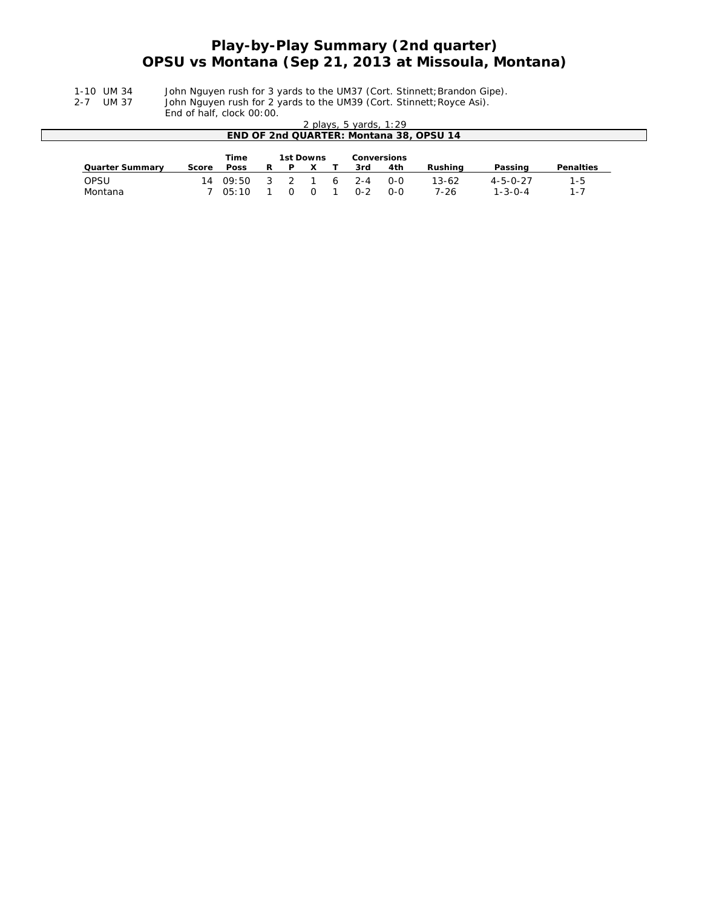## **Play-by-Play Summary (2nd quarter) OPSU vs Montana (Sep 21, 2013 at Missoula, Montana)**

1-10 UM 34 John Nguyen rush for 3 yards to the UM37 (Cort. Stinnett;Brandon Gipe).

2-7 UM 37 John Nguyen rush for 2 yards to the UM39 (Cort. Stinnett; Royce Asi).

End of half, clock 00:00.

|                                                | ENG OF HAIL, CIOCK UU: UU. |             |    |   |  |   |                          |       |                                         |                  |                  |
|------------------------------------------------|----------------------------|-------------|----|---|--|---|--------------------------|-------|-----------------------------------------|------------------|------------------|
|                                                |                            |             |    |   |  |   | 2 plays, 5 yards, $1:29$ |       |                                         |                  |                  |
|                                                |                            |             |    |   |  |   |                          |       | END OF 2nd QUARTER: Montana 38, OPSU 14 |                  |                  |
|                                                |                            |             |    |   |  |   |                          |       |                                         |                  |                  |
| <b>Time</b><br>1st Downs<br><b>Conversions</b> |                            |             |    |   |  |   |                          |       |                                         |                  |                  |
| <b>Quarter Summary</b>                         | Score                      | <b>Poss</b> | R  | P |  |   | 3rd                      | 4th   | Rushing                                 | Passing          | <b>Penalties</b> |
| OPSU                                           | 14                         | 09:50       | -3 |   |  | 6 | $2 - 4$                  | $O-O$ | 13-62                                   | $4 - 5 - 0 - 27$ | $1 - 5$          |
|                                                |                            |             |    |   |  |   |                          |       |                                         |                  |                  |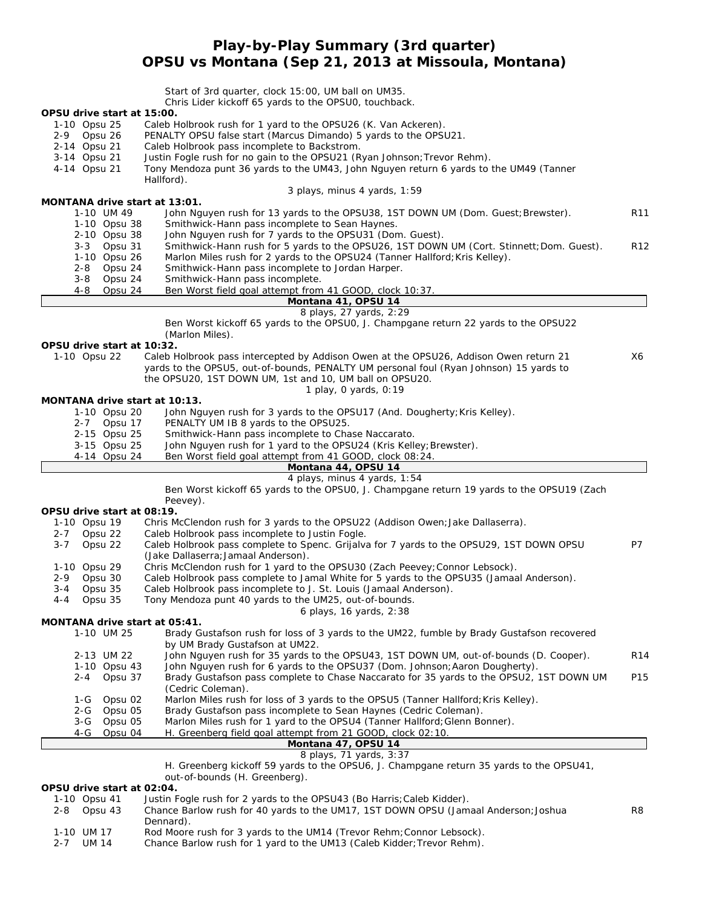# **Play-by-Play Summary (3rd quarter) OPSU vs Montana (Sep 21, 2013 at Missoula, Montana)**

|                                          | Start of 3rd quarter, clock 15:00, UM ball on UM35.                                                                                |                 |
|------------------------------------------|------------------------------------------------------------------------------------------------------------------------------------|-----------------|
|                                          | Chris Lider kickoff 65 yards to the OPSU0, touchback.                                                                              |                 |
| OPSU drive start at 15:00.               |                                                                                                                                    |                 |
| 1-10 Opsu 25<br>2-9 Opsu 26              | Caleb Holbrook rush for 1 yard to the OPSU26 (K. Van Ackeren).<br>PENALTY OPSU false start (Marcus Dimando) 5 yards to the OPSU21. |                 |
| 2-14 Opsu 21                             | Caleb Holbrook pass incomplete to Backstrom.                                                                                       |                 |
| 3-14 Opsu 21                             | Justin Fogle rush for no gain to the OPSU21 (Ryan Johnson; Trevor Rehm).                                                           |                 |
| 4-14 Opsu 21                             | Tony Mendoza punt 36 yards to the UM43, John Nguyen return 6 yards to the UM49 (Tanner                                             |                 |
|                                          | Hallford).                                                                                                                         |                 |
|                                          | 3 plays, minus 4 yards, 1:59                                                                                                       |                 |
| MONTANA drive start at 13:01.            |                                                                                                                                    |                 |
| 1-10 UM 49<br>1-10 Opsu 38               | John Nguyen rush for 13 yards to the OPSU38, 1ST DOWN UM (Dom. Guest; Brewster).<br>Smithwick-Hann pass incomplete to Sean Haynes. | R <sub>11</sub> |
| 2-10 Opsu 38                             | John Nguyen rush for 7 yards to the OPSU31 (Dom. Guest).                                                                           |                 |
| $3 - 3$<br>Opsu 31                       | Smithwick-Hann rush for 5 yards to the OPSU26, 1ST DOWN UM (Cort. Stinnett; Dom. Guest).                                           | R <sub>12</sub> |
| 1-10 Opsu 26                             | Marlon Miles rush for 2 yards to the OPSU24 (Tanner Hallford; Kris Kelley).                                                        |                 |
| Opsu 24<br>$2 - 8$                       | Smithwick-Hann pass incomplete to Jordan Harper.                                                                                   |                 |
| $3 - 8$<br>Opsu 24                       | Smithwick-Hann pass incomplete.                                                                                                    |                 |
| $4 - 8$<br>Opsu 24                       | Ben Worst field goal attempt from 41 GOOD, clock 10:37.<br>Montana 41, OPSU 14                                                     |                 |
|                                          | 8 plays, 27 yards, 2:29                                                                                                            |                 |
|                                          | Ben Worst kickoff 65 yards to the OPSU0, J. Champgane return 22 yards to the OPSU22                                                |                 |
|                                          | (Marlon Miles).                                                                                                                    |                 |
| OPSU drive start at 10:32.               |                                                                                                                                    |                 |
| 1-10 Opsu 22                             | Caleb Holbrook pass intercepted by Addison Owen at the OPSU26, Addison Owen return 21                                              | X6              |
|                                          | yards to the OPSU5, out-of-bounds, PENALTY UM personal foul (Ryan Johnson) 15 yards to                                             |                 |
|                                          | the OPSU20, 1ST DOWN UM, 1st and 10, UM ball on OPSU20.<br>1 play, 0 yards, 0:19                                                   |                 |
| MONTANA drive start at 10:13.            |                                                                                                                                    |                 |
| 1-10 Opsu 20                             | John Nguyen rush for 3 yards to the OPSU17 (And. Dougherty; Kris Kelley).                                                          |                 |
| 2-7 Opsu 17                              | PENALTY UM IB 8 yards to the OPSU25.                                                                                               |                 |
| 2-15 Opsu 25                             | Smithwick-Hann pass incomplete to Chase Naccarato.                                                                                 |                 |
| 3-15 Opsu 25                             | John Nguyen rush for 1 yard to the OPSU24 (Kris Kelley; Brewster).                                                                 |                 |
| 4-14 Opsu 24                             | Ben Worst field goal attempt from 41 GOOD, clock 08:24.<br>Montana 44, OPSU 14                                                     |                 |
|                                          | 4 plays, minus 4 yards, 1:54                                                                                                       |                 |
|                                          | Ben Worst kickoff 65 yards to the OPSU0, J. Champgane return 19 yards to the OPSU19 (Zach                                          |                 |
|                                          | Peevey).                                                                                                                           |                 |
| OPSU drive start at 08:19.               |                                                                                                                                    |                 |
| 1-10 Opsu 19                             | Chris McClendon rush for 3 yards to the OPSU22 (Addison Owen; Jake Dallaserra).<br>Caleb Holbrook pass incomplete to Justin Fogle. |                 |
| Opsu 22<br>$2 - 7$<br>$3 - 7$<br>Opsu 22 | Caleb Holbrook pass complete to Spenc. Grijalva for 7 yards to the OPSU29, 1ST DOWN OPSU                                           | P7              |
|                                          | (Jake Dallaserra; Jamaal Anderson).                                                                                                |                 |
| 1-10 Opsu 29                             | Chris McClendon rush for 1 yard to the OPSU30 (Zach Peevey; Connor Lebsock).                                                       |                 |
| Opsu 30<br>2-9                           | Caleb Holbrook pass complete to Jamal White for 5 yards to the OPSU35 (Jamaal Anderson).                                           |                 |
| Opsu 35<br>3-4                           | Caleb Holbrook pass incomplete to J. St. Louis (Jamaal Anderson).                                                                  |                 |
| Opsu 35<br>4-4                           | Tony Mendoza punt 40 yards to the UM25, out-of-bounds.                                                                             |                 |
| MONTANA drive start at 05:41.            | 6 plays, 16 yards, 2:38                                                                                                            |                 |
| 1-10 UM 25                               | Brady Gustafson rush for loss of 3 yards to the UM22, fumble by Brady Gustafson recovered                                          |                 |
|                                          | by UM Brady Gustafson at UM22.                                                                                                     |                 |
| 2-13 UM 22                               | John Nguyen rush for 35 yards to the OPSU43, 1ST DOWN UM, out-of-bounds (D. Cooper).                                               | R <sub>14</sub> |
| 1-10 Opsu 43                             | John Nguyen rush for 6 yards to the OPSU37 (Dom. Johnson; Aaron Dougherty).                                                        |                 |
| Opsu 37<br>$2 - 4$                       | Brady Gustafson pass complete to Chase Naccarato for 35 yards to the OPSU2, 1ST DOWN UM                                            | P15             |
| Opsu 02<br>1-G                           | (Cedric Coleman).<br>Marlon Miles rush for loss of 3 yards to the OPSU5 (Tanner Hallford; Kris Kelley).                            |                 |
| Opsu 05<br>2-G                           | Brady Gustafson pass incomplete to Sean Haynes (Cedric Coleman).                                                                   |                 |
| Opsu 05<br>3-G                           | Marlon Miles rush for 1 yard to the OPSU4 (Tanner Hallford; Glenn Bonner).                                                         |                 |
| Opsu 04<br>4-G                           | H. Greenberg field goal attempt from 21 GOOD, clock 02:10.                                                                         |                 |
|                                          | Montana 47, OPSU 14                                                                                                                |                 |
|                                          | 8 plays, 71 yards, 3:37                                                                                                            |                 |
|                                          | H. Greenberg kickoff 59 yards to the OPSU6, J. Champgane return 35 yards to the OPSU41,<br>out-of-bounds (H. Greenberg).           |                 |
| OPSU drive start at 02:04.               |                                                                                                                                    |                 |
| 1-10 Opsu 41                             | Justin Fogle rush for 2 yards to the OPSU43 (Bo Harris; Caleb Kidder).                                                             |                 |

- 2-8 Opsu 43 Chance Barlow rush for 40 yards to the UM17, 1ST DOWN OPSU (Jamaal Anderson;Joshua R8 Dennard).
- 1-10 UM 17 Rod Moore rush for 3 yards to the UM14 (Trevor Rehm; Connor Lebsock).
- 2-7 UM 14 Chance Barlow rush for 1 yard to the UM13 (Caleb Kidder; Trevor Rehm).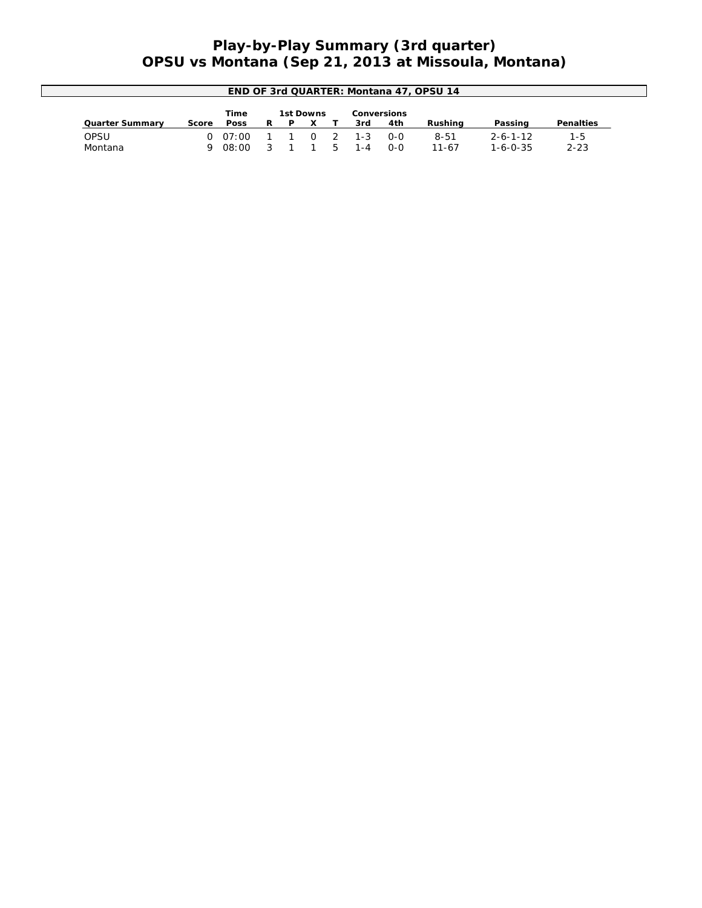## **Play-by-Play Summary (3rd quarter) OPSU vs Montana (Sep 21, 2013 at Missoula, Montana)**

| END OF 3rd QUARTER: Montana 47, OPSU 14 |       |             |   |  |  |              |         |         |           |                  |           |
|-----------------------------------------|-------|-------------|---|--|--|--------------|---------|---------|-----------|------------------|-----------|
| Time<br>1st Downs<br>Conversions        |       |             |   |  |  |              |         |         |           |                  |           |
| <b>Quarter Summary</b>                  | Score | <b>Poss</b> | R |  |  |              | 3rd     | 4th     | Rushina   | Passing          | Penalties |
| OPSU                                    |       | 0.07:00     |   |  |  | $0 \sqrt{2}$ | $1 - 3$ | $0 - 0$ | $8 - 51$  | $2 - 6 - 1 - 12$ | $1 - 5$   |
| Montana                                 |       | 08:00       |   |  |  |              | $1 - 4$ | $0 - 0$ | $11 - 67$ | $1 - 6 - 0 - 35$ | $2 - 23$  |